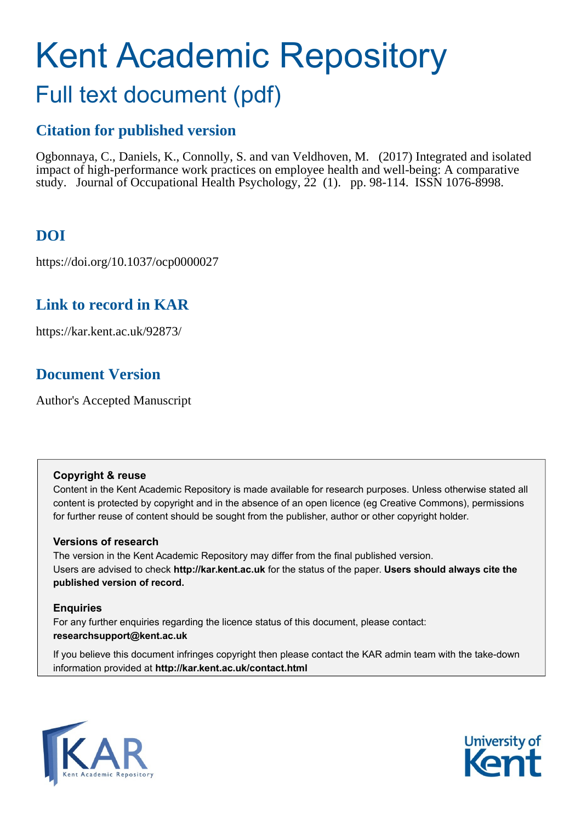# Kent Academic Repository Full text document (pdf)

# **Citation for published version**

Ogbonnaya, C., Daniels, K., Connolly, S. and van Veldhoven, M. (2017) Integrated and isolated impact of high-performance work practices on employee health and well-being: A comparative study. Journal of Occupational Health Psychology, 22 (1). pp. 98-114. ISSN 1076-8998.

## **DOI**

https://doi.org/10.1037/ocp0000027

### **Link to record in KAR**

https://kar.kent.ac.uk/92873/

### **Document Version**

Author's Accepted Manuscript

#### **Copyright & reuse**

Content in the Kent Academic Repository is made available for research purposes. Unless otherwise stated all content is protected by copyright and in the absence of an open licence (eg Creative Commons), permissions for further reuse of content should be sought from the publisher, author or other copyright holder.

#### **Versions of research**

The version in the Kent Academic Repository may differ from the final published version. Users are advised to check **http://kar.kent.ac.uk** for the status of the paper. **Users should always cite the published version of record.**

#### **Enquiries**

For any further enquiries regarding the licence status of this document, please contact: **researchsupport@kent.ac.uk**

If you believe this document infringes copyright then please contact the KAR admin team with the take-down information provided at **http://kar.kent.ac.uk/contact.html**



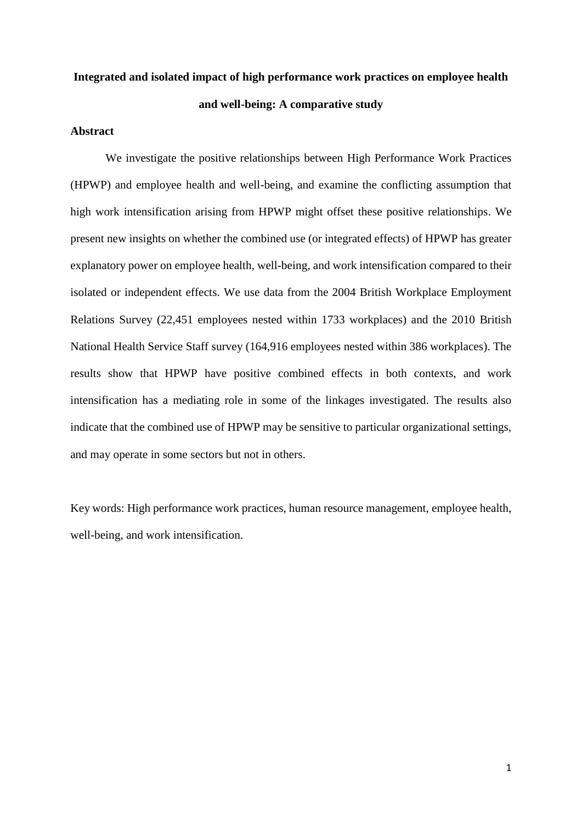# **Integrated and isolated impact of high performance work practices on employee health and well-being: A comparative study**

#### **Abstract**

We investigate the positive relationships between High Performance Work Practices (HPWP) and employee health and well-being, and examine the conflicting assumption that high work intensification arising from HPWP might offset these positive relationships. We present new insights on whether the combined use (or integrated effects) of HPWP has greater explanatory power on employee health, well-being, and work intensification compared to their isolated or independent effects. We use data from the 2004 British Workplace Employment Relations Survey (22,451 employees nested within 1733 workplaces) and the 2010 British National Health Service Staff survey (164,916 employees nested within 386 workplaces). The results show that HPWP have positive combined effects in both contexts, and work intensification has a mediating role in some of the linkages investigated. The results also indicate that the combined use of HPWP may be sensitive to particular organizational settings, and may operate in some sectors but not in others.

Key words: High performance work practices, human resource management, employee health, well-being, and work intensification.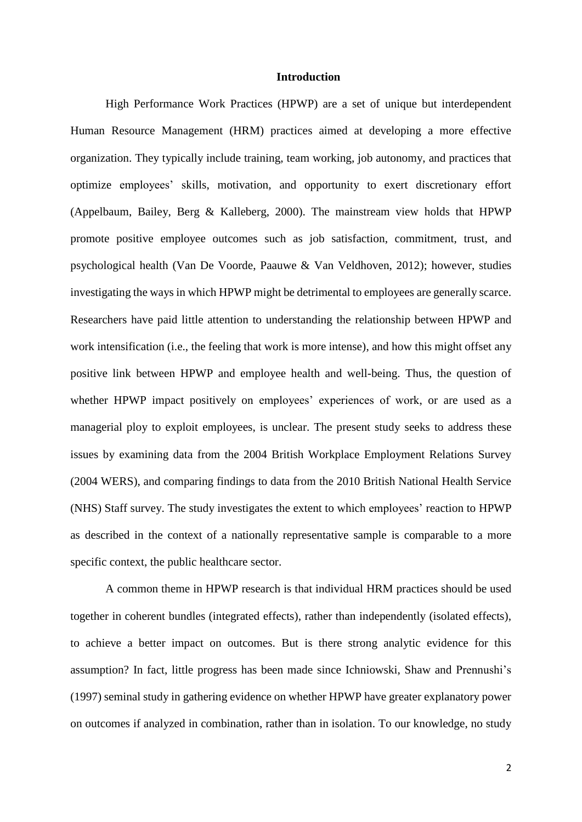#### **Introduction**

High Performance Work Practices (HPWP) are a set of unique but interdependent Human Resource Management (HRM) practices aimed at developing a more effective organization. They typically include training, team working, job autonomy, and practices that optimize employees' skills, motivation, and opportunity to exert discretionary effort (Appelbaum, Bailey, Berg & Kalleberg, 2000). The mainstream view holds that HPWP promote positive employee outcomes such as job satisfaction, commitment, trust, and psychological health (Van De Voorde, Paauwe & Van Veldhoven, 2012); however, studies investigating the ways in which HPWP might be detrimental to employees are generally scarce. Researchers have paid little attention to understanding the relationship between HPWP and work intensification (i.e., the feeling that work is more intense), and how this might offset any positive link between HPWP and employee health and well-being. Thus, the question of whether HPWP impact positively on employees' experiences of work, or are used as a managerial ploy to exploit employees, is unclear. The present study seeks to address these issues by examining data from the 2004 British Workplace Employment Relations Survey (2004 WERS), and comparing findings to data from the 2010 British National Health Service (NHS) Staff survey. The study investigates the extent to which employees' reaction to HPWP as described in the context of a nationally representative sample is comparable to a more specific context, the public healthcare sector.

A common theme in HPWP research is that individual HRM practices should be used together in coherent bundles (integrated effects), rather than independently (isolated effects), to achieve a better impact on outcomes. But is there strong analytic evidence for this assumption? In fact, little progress has been made since Ichniowski, Shaw and Prennushi's (1997) seminal study in gathering evidence on whether HPWP have greater explanatory power on outcomes if analyzed in combination, rather than in isolation. To our knowledge, no study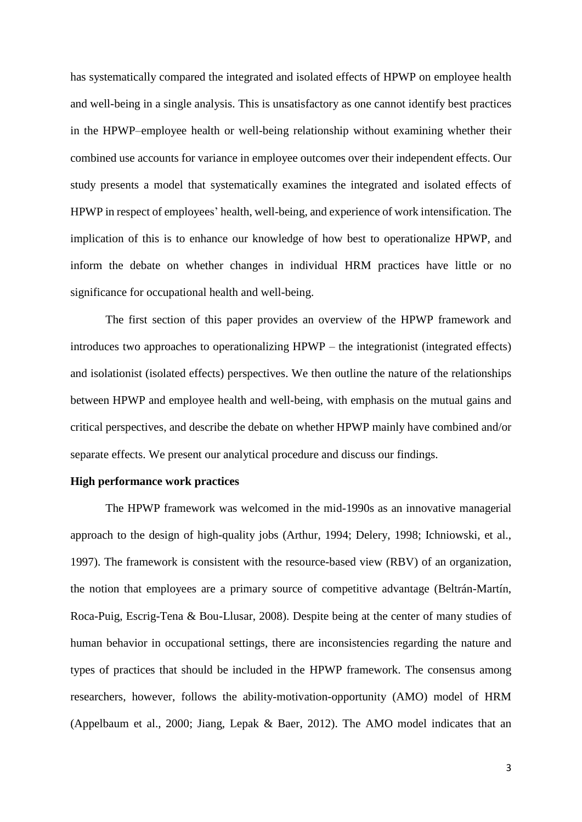has systematically compared the integrated and isolated effects of HPWP on employee health and well-being in a single analysis. This is unsatisfactory as one cannot identify best practices in the HPWP–employee health or well-being relationship without examining whether their combined use accounts for variance in employee outcomes over their independent effects. Our study presents a model that systematically examines the integrated and isolated effects of HPWP in respect of employees' health, well-being, and experience of work intensification. The implication of this is to enhance our knowledge of how best to operationalize HPWP, and inform the debate on whether changes in individual HRM practices have little or no significance for occupational health and well-being.

The first section of this paper provides an overview of the HPWP framework and introduces two approaches to operationalizing HPWP – the integrationist (integrated effects) and isolationist (isolated effects) perspectives. We then outline the nature of the relationships between HPWP and employee health and well-being, with emphasis on the mutual gains and critical perspectives, and describe the debate on whether HPWP mainly have combined and/or separate effects. We present our analytical procedure and discuss our findings.

#### **High performance work practices**

The HPWP framework was welcomed in the mid-1990s as an innovative managerial approach to the design of high-quality jobs (Arthur, 1994; Delery, 1998; Ichniowski, et al., 1997). The framework is consistent with the resource-based view (RBV) of an organization, the notion that employees are a primary source of competitive advantage (Beltrán-Martín, Roca-Puig, Escrig-Tena & Bou-Llusar, 2008). Despite being at the center of many studies of human behavior in occupational settings, there are inconsistencies regarding the nature and types of practices that should be included in the HPWP framework. The consensus among researchers, however, follows the ability-motivation-opportunity (AMO) model of HRM (Appelbaum et al., 2000; Jiang, Lepak & Baer, 2012). The AMO model indicates that an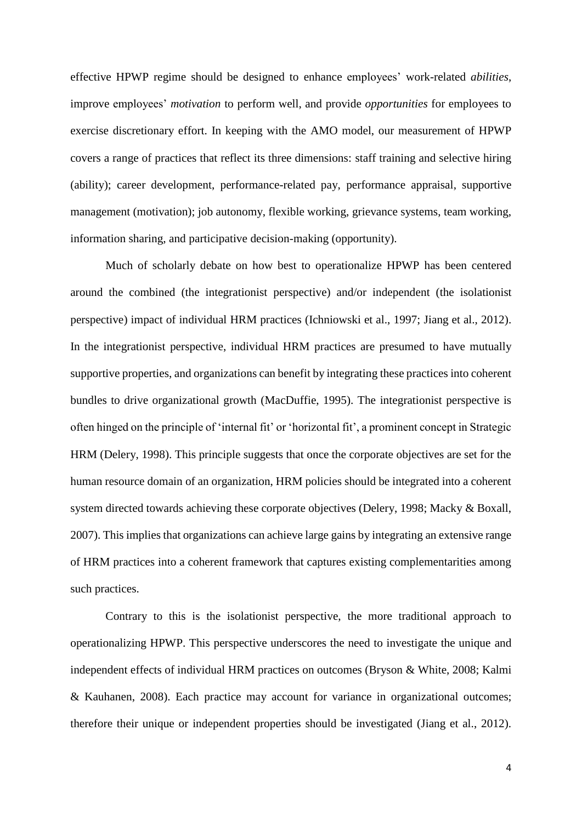effective HPWP regime should be designed to enhance employees' work-related *abilities*, improve employees' *motivation* to perform well, and provide *opportunities* for employees to exercise discretionary effort. In keeping with the AMO model, our measurement of HPWP covers a range of practices that reflect its three dimensions: staff training and selective hiring (ability); career development, performance-related pay, performance appraisal, supportive management (motivation); job autonomy, flexible working, grievance systems, team working, information sharing, and participative decision-making (opportunity).

Much of scholarly debate on how best to operationalize HPWP has been centered around the combined (the integrationist perspective) and/or independent (the isolationist perspective) impact of individual HRM practices (Ichniowski et al., 1997; Jiang et al., 2012). In the integrationist perspective, individual HRM practices are presumed to have mutually supportive properties, and organizations can benefit by integrating these practices into coherent bundles to drive organizational growth (MacDuffie, 1995). The integrationist perspective is often hinged on the principle of 'internal fit' or 'horizontal fit', a prominent concept in Strategic HRM (Delery, 1998). This principle suggests that once the corporate objectives are set for the human resource domain of an organization, HRM policies should be integrated into a coherent system directed towards achieving these corporate objectives (Delery, 1998; Macky & Boxall, 2007). This implies that organizations can achieve large gains by integrating an extensive range of HRM practices into a coherent framework that captures existing complementarities among such practices.

Contrary to this is the isolationist perspective, the more traditional approach to operationalizing HPWP. This perspective underscores the need to investigate the unique and independent effects of individual HRM practices on outcomes (Bryson & White, 2008; Kalmi & Kauhanen, 2008). Each practice may account for variance in organizational outcomes; therefore their unique or independent properties should be investigated (Jiang et al., 2012).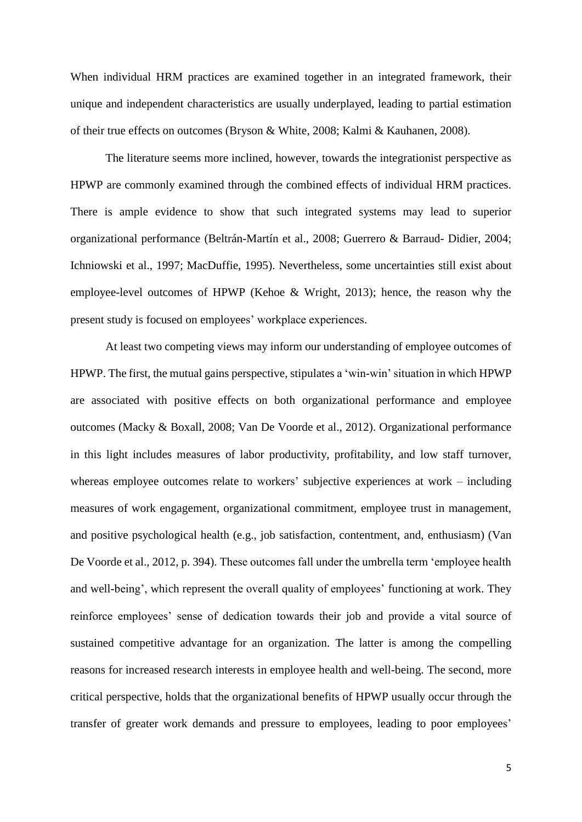When individual HRM practices are examined together in an integrated framework, their unique and independent characteristics are usually underplayed, leading to partial estimation of their true effects on outcomes (Bryson & White, 2008; Kalmi & Kauhanen, 2008).

The literature seems more inclined, however, towards the integrationist perspective as HPWP are commonly examined through the combined effects of individual HRM practices. There is ample evidence to show that such integrated systems may lead to superior organizational performance (Beltrán-Martín et al., 2008; Guerrero & Barraud- Didier, 2004; Ichniowski et al., 1997; MacDuffie, 1995). Nevertheless, some uncertainties still exist about employee-level outcomes of HPWP (Kehoe & Wright, 2013); hence, the reason why the present study is focused on employees' workplace experiences.

At least two competing views may inform our understanding of employee outcomes of HPWP. The first, the mutual gains perspective, stipulates a 'win-win' situation in which HPWP are associated with positive effects on both organizational performance and employee outcomes (Macky & Boxall, 2008; Van De Voorde et al., 2012). Organizational performance in this light includes measures of labor productivity, profitability, and low staff turnover, whereas employee outcomes relate to workers' subjective experiences at work – including measures of work engagement, organizational commitment, employee trust in management, and positive psychological health (e.g., job satisfaction, contentment, and, enthusiasm) (Van De Voorde et al., 2012, p. 394). These outcomes fall under the umbrella term 'employee health and well-being', which represent the overall quality of employees' functioning at work. They reinforce employees' sense of dedication towards their job and provide a vital source of sustained competitive advantage for an organization. The latter is among the compelling reasons for increased research interests in employee health and well-being. The second, more critical perspective, holds that the organizational benefits of HPWP usually occur through the transfer of greater work demands and pressure to employees, leading to poor employees'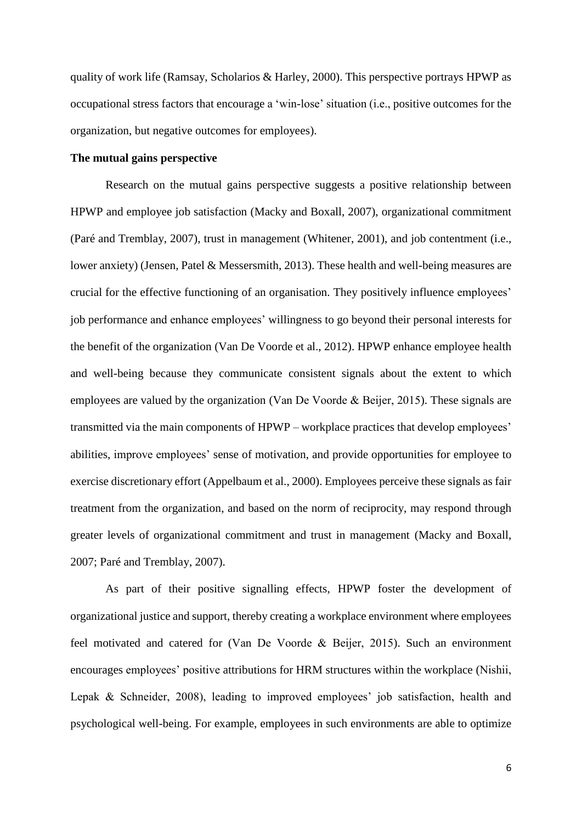quality of work life (Ramsay, Scholarios & Harley, 2000). This perspective portrays HPWP as occupational stress factors that encourage a 'win-lose' situation (i.e., positive outcomes for the organization, but negative outcomes for employees).

#### **The mutual gains perspective**

Research on the mutual gains perspective suggests a positive relationship between HPWP and employee job satisfaction (Macky and Boxall, 2007), organizational commitment (Paré and Tremblay, 2007), trust in management (Whitener, 2001), and job contentment (i.e., lower anxiety) (Jensen, Patel & Messersmith, 2013). These health and well-being measures are crucial for the effective functioning of an organisation. They positively influence employees' job performance and enhance employees' willingness to go beyond their personal interests for the benefit of the organization (Van De Voorde et al., 2012). HPWP enhance employee health and well-being because they communicate consistent signals about the extent to which employees are valued by the organization (Van De Voorde & Beijer, 2015). These signals are transmitted via the main components of HPWP – workplace practices that develop employees' abilities, improve employees' sense of motivation, and provide opportunities for employee to exercise discretionary effort (Appelbaum et al., 2000). Employees perceive these signals as fair treatment from the organization, and based on the norm of reciprocity, may respond through greater levels of organizational commitment and trust in management (Macky and Boxall, 2007; Paré and Tremblay, 2007).

As part of their positive signalling effects, HPWP foster the development of organizational justice and support, thereby creating a workplace environment where employees feel motivated and catered for (Van De Voorde & Beijer, 2015). Such an environment encourages employees' positive attributions for HRM structures within the workplace (Nishii, Lepak & Schneider, 2008), leading to improved employees' job satisfaction, health and psychological well-being. For example, employees in such environments are able to optimize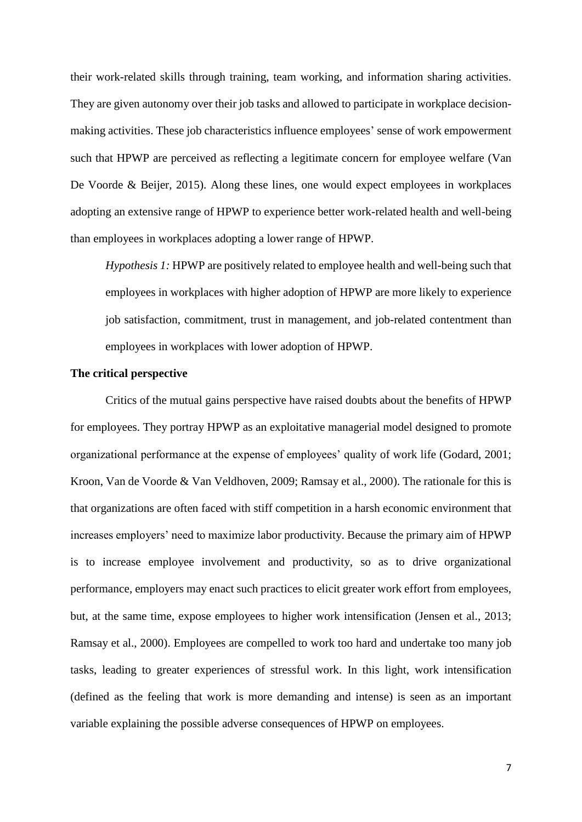their work-related skills through training, team working, and information sharing activities. They are given autonomy over their job tasks and allowed to participate in workplace decisionmaking activities. These job characteristics influence employees' sense of work empowerment such that HPWP are perceived as reflecting a legitimate concern for employee welfare (Van De Voorde & Beijer, 2015). Along these lines, one would expect employees in workplaces adopting an extensive range of HPWP to experience better work-related health and well-being than employees in workplaces adopting a lower range of HPWP.

*Hypothesis 1:* HPWP are positively related to employee health and well-being such that employees in workplaces with higher adoption of HPWP are more likely to experience job satisfaction, commitment, trust in management, and job-related contentment than employees in workplaces with lower adoption of HPWP.

#### **The critical perspective**

Critics of the mutual gains perspective have raised doubts about the benefits of HPWP for employees. They portray HPWP as an exploitative managerial model designed to promote organizational performance at the expense of employees' quality of work life (Godard, 2001; Kroon, Van de Voorde & Van Veldhoven, 2009; Ramsay et al., 2000). The rationale for this is that organizations are often faced with stiff competition in a harsh economic environment that increases employers' need to maximize labor productivity. Because the primary aim of HPWP is to increase employee involvement and productivity, so as to drive organizational performance, employers may enact such practices to elicit greater work effort from employees, but, at the same time, expose employees to higher work intensification (Jensen et al., 2013; Ramsay et al., 2000). Employees are compelled to work too hard and undertake too many job tasks, leading to greater experiences of stressful work. In this light, work intensification (defined as the feeling that work is more demanding and intense) is seen as an important variable explaining the possible adverse consequences of HPWP on employees.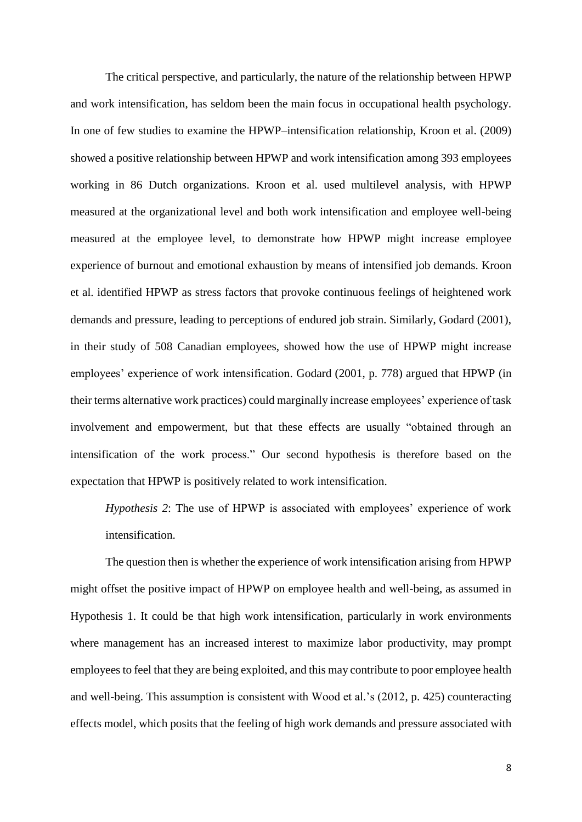The critical perspective, and particularly, the nature of the relationship between HPWP and work intensification, has seldom been the main focus in occupational health psychology. In one of few studies to examine the HPWP–intensification relationship, Kroon et al. (2009) showed a positive relationship between HPWP and work intensification among 393 employees working in 86 Dutch organizations. Kroon et al. used multilevel analysis, with HPWP measured at the organizational level and both work intensification and employee well-being measured at the employee level, to demonstrate how HPWP might increase employee experience of burnout and emotional exhaustion by means of intensified job demands. Kroon et al. identified HPWP as stress factors that provoke continuous feelings of heightened work demands and pressure, leading to perceptions of endured job strain. Similarly, Godard (2001), in their study of 508 Canadian employees, showed how the use of HPWP might increase employees' experience of work intensification. Godard (2001, p. 778) argued that HPWP (in their terms alternative work practices) could marginally increase employees' experience of task involvement and empowerment, but that these effects are usually "obtained through an intensification of the work process." Our second hypothesis is therefore based on the expectation that HPWP is positively related to work intensification.

*Hypothesis 2*: The use of HPWP is associated with employees' experience of work intensification.

The question then is whether the experience of work intensification arising from HPWP might offset the positive impact of HPWP on employee health and well-being, as assumed in Hypothesis 1. It could be that high work intensification, particularly in work environments where management has an increased interest to maximize labor productivity, may prompt employees to feel that they are being exploited, and this may contribute to poor employee health and well-being. This assumption is consistent with Wood et al.'s (2012, p. 425) counteracting effects model, which posits that the feeling of high work demands and pressure associated with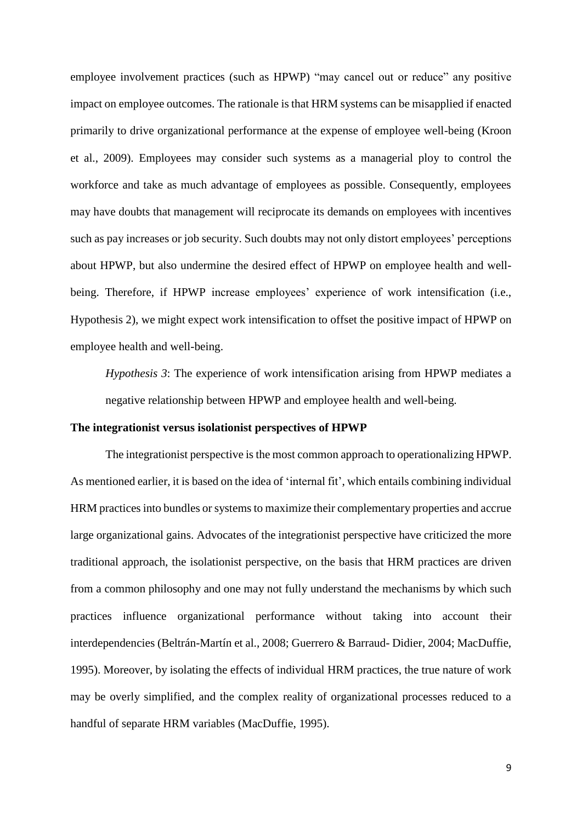employee involvement practices (such as HPWP) "may cancel out or reduce" any positive impact on employee outcomes. The rationale is that HRM systems can be misapplied if enacted primarily to drive organizational performance at the expense of employee well-being (Kroon et al., 2009). Employees may consider such systems as a managerial ploy to control the workforce and take as much advantage of employees as possible. Consequently, employees may have doubts that management will reciprocate its demands on employees with incentives such as pay increases or job security. Such doubts may not only distort employees' perceptions about HPWP, but also undermine the desired effect of HPWP on employee health and wellbeing. Therefore, if HPWP increase employees' experience of work intensification (i.e., Hypothesis 2), we might expect work intensification to offset the positive impact of HPWP on employee health and well-being.

*Hypothesis 3*: The experience of work intensification arising from HPWP mediates a negative relationship between HPWP and employee health and well-being.

#### **The integrationist versus isolationist perspectives of HPWP**

The integrationist perspective is the most common approach to operationalizing HPWP. As mentioned earlier, it is based on the idea of 'internal fit', which entails combining individual HRM practices into bundles or systems to maximize their complementary properties and accrue large organizational gains. Advocates of the integrationist perspective have criticized the more traditional approach, the isolationist perspective, on the basis that HRM practices are driven from a common philosophy and one may not fully understand the mechanisms by which such practices influence organizational performance without taking into account their interdependencies (Beltrán-Martín et al., 2008; Guerrero & Barraud- Didier, 2004; MacDuffie, 1995). Moreover, by isolating the effects of individual HRM practices, the true nature of work may be overly simplified, and the complex reality of organizational processes reduced to a handful of separate HRM variables (MacDuffie, 1995).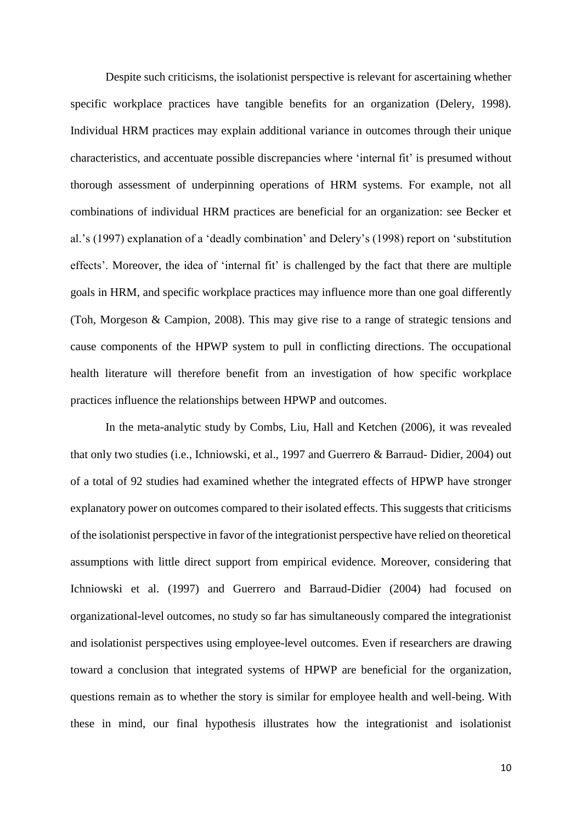Despite such criticisms, the isolationist perspective is relevant for ascertaining whether specific workplace practices have tangible benefits for an organization (Delery, 1998). Individual HRM practices may explain additional variance in outcomes through their unique characteristics, and accentuate possible discrepancies where 'internal fit' is presumed without thorough assessment of underpinning operations of HRM systems. For example, not all combinations of individual HRM practices are beneficial for an organization: see Becker et al.'s (1997) explanation of a 'deadly combination' and Delery's (1998) report on 'substitution effects'. Moreover, the idea of 'internal fit' is challenged by the fact that there are multiple goals in HRM, and specific workplace practices may influence more than one goal differently (Toh, Morgeson & Campion, 2008). This may give rise to a range of strategic tensions and cause components of the HPWP system to pull in conflicting directions. The occupational health literature will therefore benefit from an investigation of how specific workplace practices influence the relationships between HPWP and outcomes.

In the meta-analytic study by Combs, Liu, Hall and Ketchen (2006), it was revealed that only two studies (i.e., Ichniowski, et al., 1997 and Guerrero & Barraud- Didier, 2004) out of a total of 92 studies had examined whether the integrated effects of HPWP have stronger explanatory power on outcomes compared to their isolated effects. This suggests that criticisms of the isolationist perspective in favor of the integrationist perspective have relied on theoretical assumptions with little direct support from empirical evidence. Moreover, considering that Ichniowski et al. (1997) and Guerrero and Barraud-Didier (2004) had focused on organizational-level outcomes, no study so far has simultaneously compared the integrationist and isolationist perspectives using employee-level outcomes. Even if researchers are drawing toward a conclusion that integrated systems of HPWP are beneficial for the organization, questions remain as to whether the story is similar for employee health and well-being. With these in mind, our final hypothesis illustrates how the integrationist and isolationist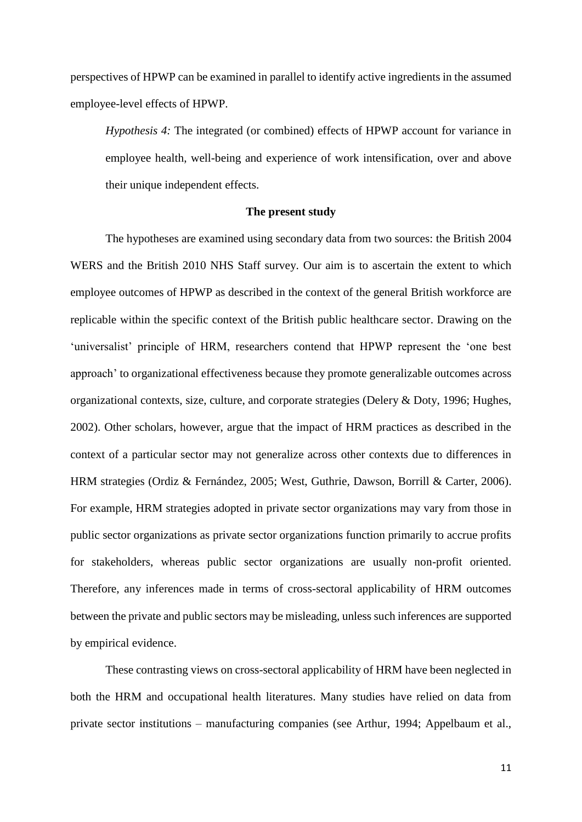perspectives of HPWP can be examined in parallel to identify active ingredients in the assumed employee-level effects of HPWP.

*Hypothesis 4:* The integrated (or combined) effects of HPWP account for variance in employee health, well-being and experience of work intensification, over and above their unique independent effects.

#### **The present study**

The hypotheses are examined using secondary data from two sources: the British 2004 WERS and the British 2010 NHS Staff survey. Our aim is to ascertain the extent to which employee outcomes of HPWP as described in the context of the general British workforce are replicable within the specific context of the British public healthcare sector. Drawing on the 'universalist' principle of HRM, researchers contend that HPWP represent the 'one best approach' to organizational effectiveness because they promote generalizable outcomes across organizational contexts, size, culture, and corporate strategies (Delery & Doty, 1996; Hughes, 2002). Other scholars, however, argue that the impact of HRM practices as described in the context of a particular sector may not generalize across other contexts due to differences in HRM strategies (Ordiz & Fernández, 2005; West, Guthrie, Dawson, Borrill & Carter, 2006). For example, HRM strategies adopted in private sector organizations may vary from those in public sector organizations as private sector organizations function primarily to accrue profits for stakeholders, whereas public sector organizations are usually non-profit oriented. Therefore, any inferences made in terms of cross-sectoral applicability of HRM outcomes between the private and public sectors may be misleading, unless such inferences are supported by empirical evidence.

These contrasting views on cross-sectoral applicability of HRM have been neglected in both the HRM and occupational health literatures. Many studies have relied on data from private sector institutions – manufacturing companies (see Arthur, 1994; Appelbaum et al.,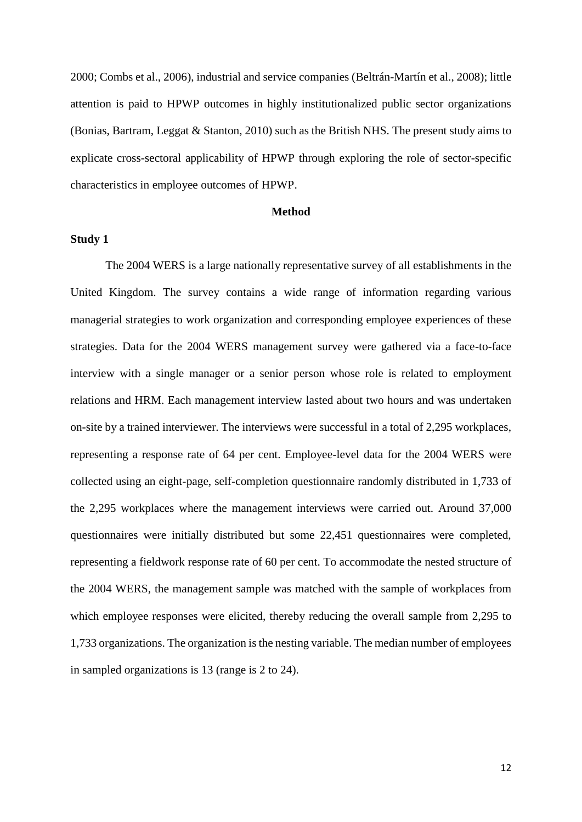2000; Combs et al., 2006), industrial and service companies (Beltrán-Martín et al., 2008); little attention is paid to HPWP outcomes in highly institutionalized public sector organizations (Bonias, Bartram, Leggat & Stanton, 2010) such as the British NHS. The present study aims to explicate cross-sectoral applicability of HPWP through exploring the role of sector-specific characteristics in employee outcomes of HPWP.

#### **Method**

#### **Study 1**

The 2004 WERS is a large nationally representative survey of all establishments in the United Kingdom. The survey contains a wide range of information regarding various managerial strategies to work organization and corresponding employee experiences of these strategies. Data for the 2004 WERS management survey were gathered via a face-to-face interview with a single manager or a senior person whose role is related to employment relations and HRM. Each management interview lasted about two hours and was undertaken on-site by a trained interviewer. The interviews were successful in a total of 2,295 workplaces, representing a response rate of 64 per cent. Employee-level data for the 2004 WERS were collected using an eight-page, self-completion questionnaire randomly distributed in 1,733 of the 2,295 workplaces where the management interviews were carried out. Around 37,000 questionnaires were initially distributed but some 22,451 questionnaires were completed, representing a fieldwork response rate of 60 per cent. To accommodate the nested structure of the 2004 WERS, the management sample was matched with the sample of workplaces from which employee responses were elicited, thereby reducing the overall sample from 2,295 to 1,733 organizations. The organization is the nesting variable. The median number of employees in sampled organizations is 13 (range is 2 to 24).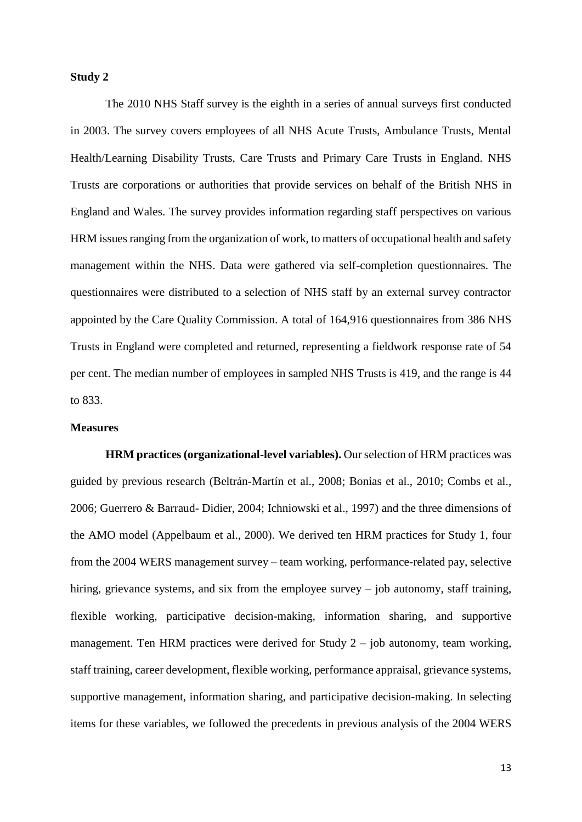#### **Study 2**

The 2010 NHS Staff survey is the eighth in a series of annual surveys first conducted in 2003. The survey covers employees of all NHS Acute Trusts, Ambulance Trusts, Mental Health/Learning Disability Trusts, Care Trusts and Primary Care Trusts in England. NHS Trusts are corporations or authorities that provide services on behalf of the British NHS in England and Wales. The survey provides information regarding staff perspectives on various HRM issues ranging from the organization of work, to matters of occupational health and safety management within the NHS. Data were gathered via self-completion questionnaires. The questionnaires were distributed to a selection of NHS staff by an external survey contractor appointed by the Care Quality Commission. A total of 164,916 questionnaires from 386 NHS Trusts in England were completed and returned, representing a fieldwork response rate of 54 per cent. The median number of employees in sampled NHS Trusts is 419, and the range is 44 to 833.

#### **Measures**

**HRM practices (organizational-level variables).** Our selection of HRM practices was guided by previous research (Beltrán-Martín et al., 2008; Bonias et al., 2010; Combs et al., 2006; Guerrero & Barraud- Didier, 2004; Ichniowski et al., 1997) and the three dimensions of the AMO model (Appelbaum et al., 2000). We derived ten HRM practices for Study 1, four from the 2004 WERS management survey – team working, performance-related pay, selective hiring, grievance systems, and six from the employee survey – job autonomy, staff training, flexible working, participative decision-making, information sharing, and supportive management. Ten HRM practices were derived for Study  $2 - j$ ob autonomy, team working, staff training, career development, flexible working, performance appraisal, grievance systems, supportive management, information sharing, and participative decision-making. In selecting items for these variables, we followed the precedents in previous analysis of the 2004 WERS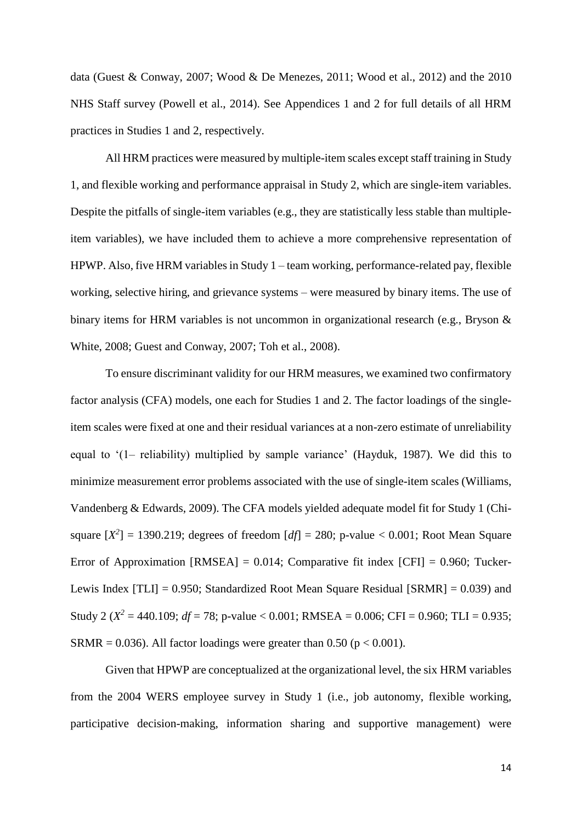data (Guest & Conway, 2007; Wood & De Menezes, 2011; Wood et al., 2012) and the 2010 NHS Staff survey (Powell et al., 2014). See Appendices 1 and 2 for full details of all HRM practices in Studies 1 and 2, respectively.

All HRM practices were measured by multiple-item scales except staff training in Study 1, and flexible working and performance appraisal in Study 2, which are single-item variables. Despite the pitfalls of single-item variables (e.g., they are statistically less stable than multipleitem variables), we have included them to achieve a more comprehensive representation of HPWP. Also, five HRM variables in Study 1 – team working, performance-related pay, flexible working, selective hiring, and grievance systems – were measured by binary items. The use of binary items for HRM variables is not uncommon in organizational research (e.g., Bryson & White, 2008; Guest and Conway, 2007; Toh et al., 2008).

To ensure discriminant validity for our HRM measures, we examined two confirmatory factor analysis (CFA) models, one each for Studies 1 and 2. The factor loadings of the singleitem scales were fixed at one and their residual variances at a non-zero estimate of unreliability equal to '(1– reliability) multiplied by sample variance' (Hayduk, 1987). We did this to minimize measurement error problems associated with the use of single-item scales (Williams, Vandenberg & Edwards, 2009). The CFA models yielded adequate model fit for Study 1 (Chisquare  $[X^2] = 1390.219$ ; degrees of freedom  $[df] = 280$ ; p-value < 0.001; Root Mean Square Error of Approximation  $[RMSEA] = 0.014$ ; Comparative fit index  $[CFI] = 0.960$ ; Tucker-Lewis Index [TLI] = 0.950; Standardized Root Mean Square Residual [SRMR] = 0.039) and Study 2 ( $X^2 = 440.109$ ; *df* = 78; p-value < 0.001; RMSEA = 0.006; CFI = 0.960; TLI = 0.935; SRMR = 0.036). All factor loadings were greater than 0.50 ( $p < 0.001$ ).

Given that HPWP are conceptualized at the organizational level, the six HRM variables from the 2004 WERS employee survey in Study 1 (i.e., job autonomy, flexible working, participative decision-making, information sharing and supportive management) were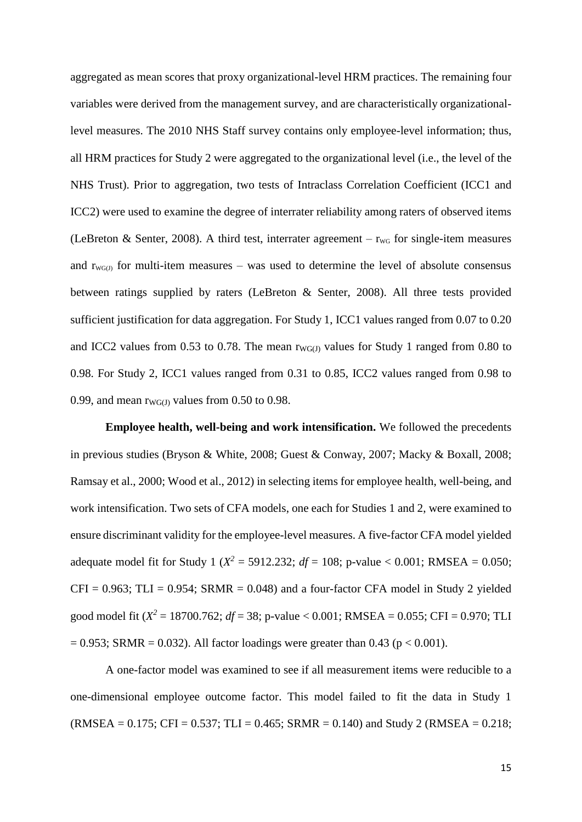aggregated as mean scores that proxy organizational-level HRM practices. The remaining four variables were derived from the management survey, and are characteristically organizationallevel measures. The 2010 NHS Staff survey contains only employee-level information; thus, all HRM practices for Study 2 were aggregated to the organizational level (i.e., the level of the NHS Trust). Prior to aggregation, two tests of Intraclass Correlation Coefficient (ICC1 and ICC2) were used to examine the degree of interrater reliability among raters of observed items (LeBreton & Senter, 2008). A third test, interrater agreement –  $r_{\text{WG}}$  for single-item measures and  $r_{\text{WGG}}$  for multi-item measures – was used to determine the level of absolute consensus between ratings supplied by raters (LeBreton & Senter, 2008). All three tests provided sufficient justification for data aggregation. For Study 1, ICC1 values ranged from 0.07 to 0.20 and ICC2 values from 0.53 to 0.78. The mean  $r_{\text{WG}(J)}$  values for Study 1 ranged from 0.80 to 0.98. For Study 2, ICC1 values ranged from 0.31 to 0.85, ICC2 values ranged from 0.98 to 0.99, and mean  $rw_{G(J)}$  values from 0.50 to 0.98.

**Employee health, well-being and work intensification.** We followed the precedents in previous studies (Bryson & White, 2008; Guest & Conway, 2007; Macky & Boxall, 2008; Ramsay et al., 2000; Wood et al., 2012) in selecting items for employee health, well-being, and work intensification. Two sets of CFA models, one each for Studies 1 and 2, were examined to ensure discriminant validity for the employee-level measures. A five-factor CFA model yielded adequate model fit for Study 1 ( $X^2 = 5912.232$ ;  $df = 108$ ; p-value < 0.001; RMSEA = 0.050;  $CFI = 0.963$ ;  $TLI = 0.954$ ;  $SRMR = 0.048$ ) and a four-factor CFA model in Study 2 yielded good model fit ( $X^2 = 18700.762$ ;  $df = 38$ ; p-value < 0.001; RMSEA = 0.055; CFI = 0.970; TLI  $= 0.953$ ; SRMR  $= 0.032$ ). All factor loadings were greater than 0.43 (p < 0.001).

A one-factor model was examined to see if all measurement items were reducible to a one-dimensional employee outcome factor. This model failed to fit the data in Study 1  $(RMSEA = 0.175$ ; CFI = 0.537; TLI = 0.465; SRMR = 0.140) and Study 2 (RMSEA = 0.218;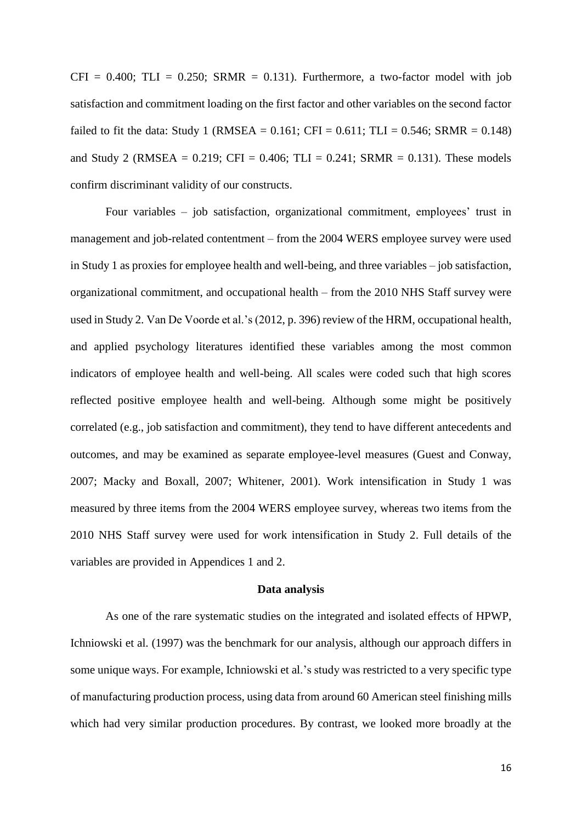$CFI = 0.400$ ;  $TLI = 0.250$ ;  $SRMR = 0.131$ ). Furthermore, a two-factor model with job satisfaction and commitment loading on the first factor and other variables on the second factor failed to fit the data: Study 1 (RMSEA =  $0.161$ ; CFI =  $0.611$ ; TLI =  $0.546$ ; SRMR =  $0.148$ ) and Study 2 (RMSEA =  $0.219$ ; CFI =  $0.406$ ; TLI =  $0.241$ ; SRMR =  $0.131$ ). These models confirm discriminant validity of our constructs.

Four variables – job satisfaction, organizational commitment, employees' trust in management and job-related contentment – from the 2004 WERS employee survey were used in Study 1 as proxies for employee health and well-being, and three variables – job satisfaction, organizational commitment, and occupational health – from the 2010 NHS Staff survey were used in Study 2. Van De Voorde et al.'s (2012, p. 396) review of the HRM, occupational health, and applied psychology literatures identified these variables among the most common indicators of employee health and well-being. All scales were coded such that high scores reflected positive employee health and well-being. Although some might be positively correlated (e.g., job satisfaction and commitment), they tend to have different antecedents and outcomes, and may be examined as separate employee-level measures (Guest and Conway, 2007; Macky and Boxall, 2007; Whitener, 2001). Work intensification in Study 1 was measured by three items from the 2004 WERS employee survey, whereas two items from the 2010 NHS Staff survey were used for work intensification in Study 2. Full details of the variables are provided in Appendices 1 and 2.

#### **Data analysis**

As one of the rare systematic studies on the integrated and isolated effects of HPWP, Ichniowski et al. (1997) was the benchmark for our analysis, although our approach differs in some unique ways. For example, Ichniowski et al.'s study was restricted to a very specific type of manufacturing production process, using data from around 60 American steel finishing mills which had very similar production procedures. By contrast, we looked more broadly at the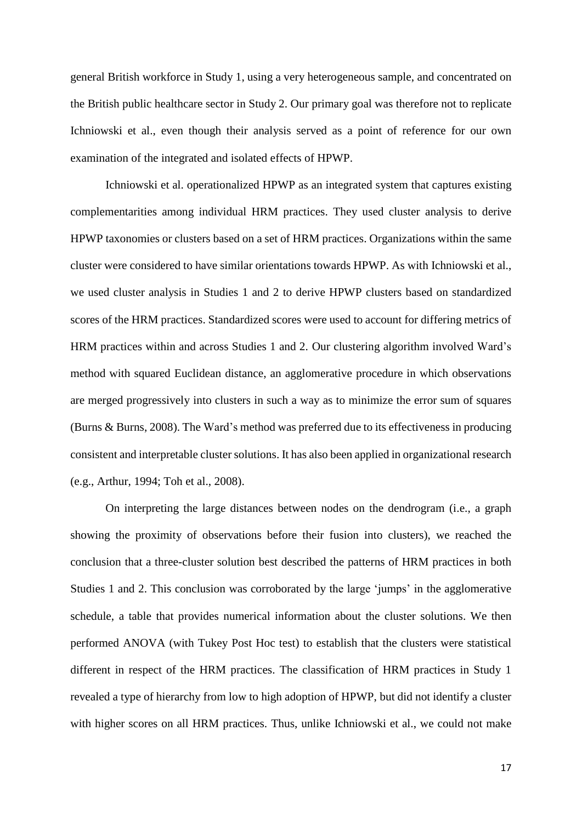general British workforce in Study 1, using a very heterogeneous sample, and concentrated on the British public healthcare sector in Study 2. Our primary goal was therefore not to replicate Ichniowski et al., even though their analysis served as a point of reference for our own examination of the integrated and isolated effects of HPWP.

Ichniowski et al. operationalized HPWP as an integrated system that captures existing complementarities among individual HRM practices. They used cluster analysis to derive HPWP taxonomies or clusters based on a set of HRM practices. Organizations within the same cluster were considered to have similar orientations towards HPWP. As with Ichniowski et al., we used cluster analysis in Studies 1 and 2 to derive HPWP clusters based on standardized scores of the HRM practices. Standardized scores were used to account for differing metrics of HRM practices within and across Studies 1 and 2. Our clustering algorithm involved Ward's method with squared Euclidean distance, an agglomerative procedure in which observations are merged progressively into clusters in such a way as to minimize the error sum of squares (Burns & Burns, 2008). The Ward's method was preferred due to its effectiveness in producing consistent and interpretable cluster solutions. It has also been applied in organizational research (e.g., Arthur, 1994; Toh et al., 2008).

On interpreting the large distances between nodes on the dendrogram (i.e., a graph showing the proximity of observations before their fusion into clusters), we reached the conclusion that a three-cluster solution best described the patterns of HRM practices in both Studies 1 and 2. This conclusion was corroborated by the large 'jumps' in the agglomerative schedule, a table that provides numerical information about the cluster solutions. We then performed ANOVA (with Tukey Post Hoc test) to establish that the clusters were statistical different in respect of the HRM practices. The classification of HRM practices in Study 1 revealed a type of hierarchy from low to high adoption of HPWP, but did not identify a cluster with higher scores on all HRM practices. Thus, unlike Ichniowski et al., we could not make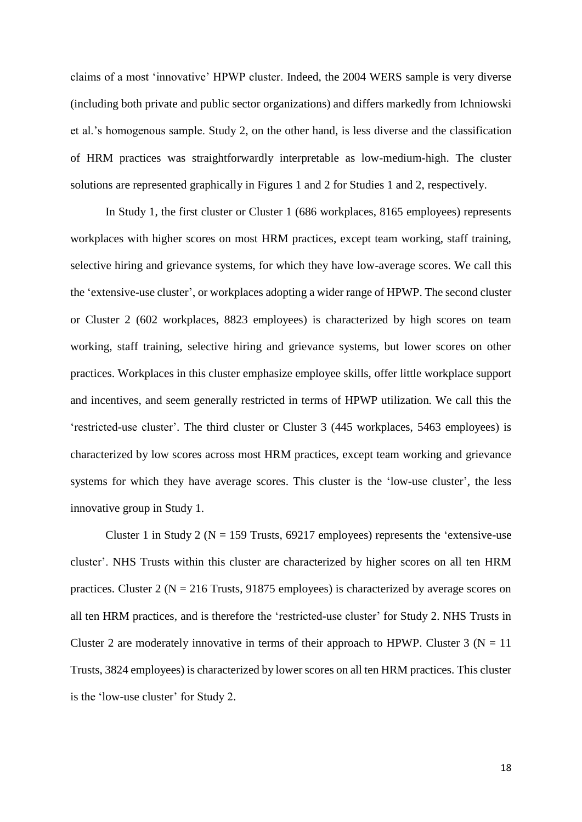claims of a most 'innovative' HPWP cluster. Indeed, the 2004 WERS sample is very diverse (including both private and public sector organizations) and differs markedly from Ichniowski et al.'s homogenous sample. Study 2, on the other hand, is less diverse and the classification of HRM practices was straightforwardly interpretable as low-medium-high. The cluster solutions are represented graphically in Figures 1 and 2 for Studies 1 and 2, respectively.

In Study 1, the first cluster or Cluster 1 (686 workplaces, 8165 employees) represents workplaces with higher scores on most HRM practices, except team working, staff training, selective hiring and grievance systems, for which they have low-average scores. We call this the 'extensive-use cluster', or workplaces adopting a wider range of HPWP. The second cluster or Cluster 2 (602 workplaces, 8823 employees) is characterized by high scores on team working, staff training, selective hiring and grievance systems, but lower scores on other practices. Workplaces in this cluster emphasize employee skills, offer little workplace support and incentives, and seem generally restricted in terms of HPWP utilization. We call this the 'restricted-use cluster'. The third cluster or Cluster 3 (445 workplaces, 5463 employees) is characterized by low scores across most HRM practices, except team working and grievance systems for which they have average scores. This cluster is the 'low-use cluster', the less innovative group in Study 1.

Cluster 1 in Study 2 ( $N = 159$  Trusts, 69217 employees) represents the 'extensive-use cluster'. NHS Trusts within this cluster are characterized by higher scores on all ten HRM practices. Cluster 2 ( $N = 216$  Trusts, 91875 employees) is characterized by average scores on all ten HRM practices, and is therefore the 'restricted-use cluster' for Study 2. NHS Trusts in Cluster 2 are moderately innovative in terms of their approach to HPWP. Cluster 3 ( $N = 11$ ) Trusts, 3824 employees) is characterized by lower scores on all ten HRM practices. This cluster is the 'low-use cluster' for Study 2.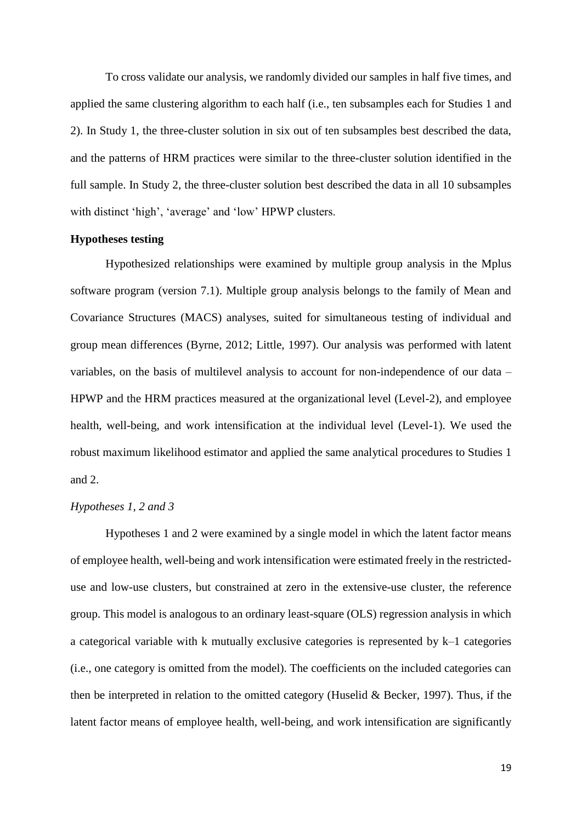To cross validate our analysis, we randomly divided our samples in half five times, and applied the same clustering algorithm to each half (i.e., ten subsamples each for Studies 1 and 2). In Study 1, the three-cluster solution in six out of ten subsamples best described the data, and the patterns of HRM practices were similar to the three-cluster solution identified in the full sample. In Study 2, the three-cluster solution best described the data in all 10 subsamples with distinct 'high', 'average' and 'low' HPWP clusters.

#### **Hypotheses testing**

Hypothesized relationships were examined by multiple group analysis in the Mplus software program (version 7.1). Multiple group analysis belongs to the family of Mean and Covariance Structures (MACS) analyses, suited for simultaneous testing of individual and group mean differences (Byrne, 2012; Little, 1997). Our analysis was performed with latent variables, on the basis of multilevel analysis to account for non-independence of our data – HPWP and the HRM practices measured at the organizational level (Level-2), and employee health, well-being, and work intensification at the individual level (Level-1). We used the robust maximum likelihood estimator and applied the same analytical procedures to Studies 1 and 2.

#### *Hypotheses 1, 2 and 3*

Hypotheses 1 and 2 were examined by a single model in which the latent factor means of employee health, well-being and work intensification were estimated freely in the restricteduse and low-use clusters, but constrained at zero in the extensive-use cluster, the reference group. This model is analogous to an ordinary least-square (OLS) regression analysis in which a categorical variable with k mutually exclusive categories is represented by k–1 categories (i.e., one category is omitted from the model). The coefficients on the included categories can then be interpreted in relation to the omitted category (Huselid & Becker, 1997). Thus, if the latent factor means of employee health, well-being, and work intensification are significantly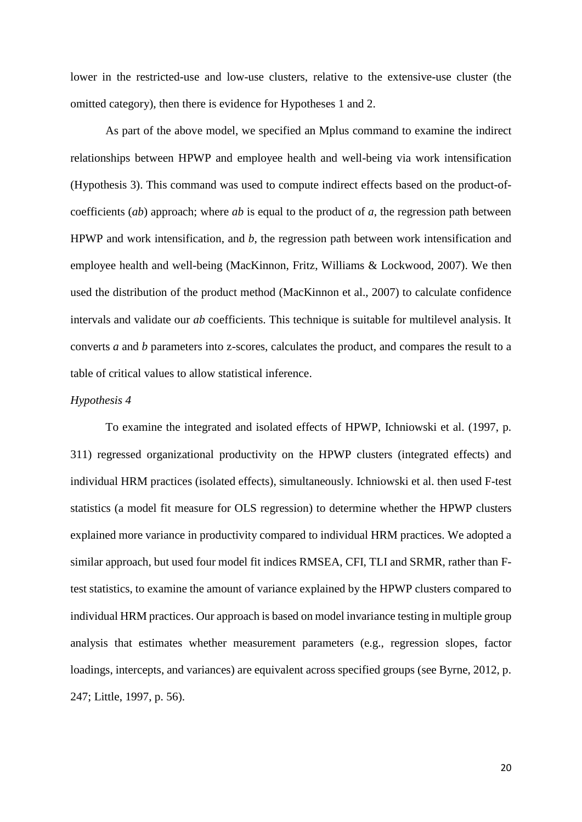lower in the restricted-use and low-use clusters, relative to the extensive-use cluster (the omitted category), then there is evidence for Hypotheses 1 and 2.

As part of the above model, we specified an Mplus command to examine the indirect relationships between HPWP and employee health and well-being via work intensification (Hypothesis 3). This command was used to compute indirect effects based on the product-ofcoefficients (*ab*) approach; where *ab* is equal to the product of *a*, the regression path between HPWP and work intensification, and *b*, the regression path between work intensification and employee health and well-being (MacKinnon, Fritz, Williams & Lockwood, 2007). We then used the distribution of the product method (MacKinnon et al., 2007) to calculate confidence intervals and validate our *ab* coefficients. This technique is suitable for multilevel analysis. It converts *a* and *b* parameters into z-scores, calculates the product, and compares the result to a table of critical values to allow statistical inference.

#### *Hypothesis 4*

To examine the integrated and isolated effects of HPWP, Ichniowski et al. (1997, p. 311) regressed organizational productivity on the HPWP clusters (integrated effects) and individual HRM practices (isolated effects), simultaneously. Ichniowski et al. then used F-test statistics (a model fit measure for OLS regression) to determine whether the HPWP clusters explained more variance in productivity compared to individual HRM practices. We adopted a similar approach, but used four model fit indices RMSEA, CFI, TLI and SRMR, rather than Ftest statistics, to examine the amount of variance explained by the HPWP clusters compared to individual HRM practices. Our approach is based on model invariance testing in multiple group analysis that estimates whether measurement parameters (e.g., regression slopes, factor loadings, intercepts, and variances) are equivalent across specified groups (see Byrne, 2012, p. 247; Little, 1997, p. 56).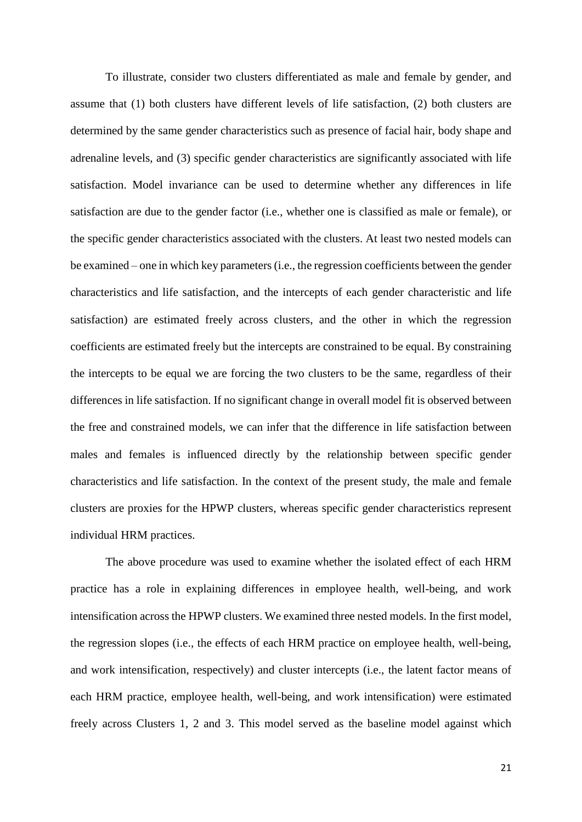To illustrate, consider two clusters differentiated as male and female by gender, and assume that (1) both clusters have different levels of life satisfaction, (2) both clusters are determined by the same gender characteristics such as presence of facial hair, body shape and adrenaline levels, and (3) specific gender characteristics are significantly associated with life satisfaction. Model invariance can be used to determine whether any differences in life satisfaction are due to the gender factor (i.e., whether one is classified as male or female), or the specific gender characteristics associated with the clusters. At least two nested models can be examined – one in which key parameters (i.e., the regression coefficients between the gender characteristics and life satisfaction, and the intercepts of each gender characteristic and life satisfaction) are estimated freely across clusters, and the other in which the regression coefficients are estimated freely but the intercepts are constrained to be equal. By constraining the intercepts to be equal we are forcing the two clusters to be the same, regardless of their differences in life satisfaction. If no significant change in overall model fit is observed between the free and constrained models, we can infer that the difference in life satisfaction between males and females is influenced directly by the relationship between specific gender characteristics and life satisfaction. In the context of the present study, the male and female clusters are proxies for the HPWP clusters, whereas specific gender characteristics represent individual HRM practices.

The above procedure was used to examine whether the isolated effect of each HRM practice has a role in explaining differences in employee health, well-being, and work intensification across the HPWP clusters. We examined three nested models. In the first model, the regression slopes (i.e., the effects of each HRM practice on employee health, well-being, and work intensification, respectively) and cluster intercepts (i.e., the latent factor means of each HRM practice, employee health, well-being, and work intensification) were estimated freely across Clusters 1, 2 and 3. This model served as the baseline model against which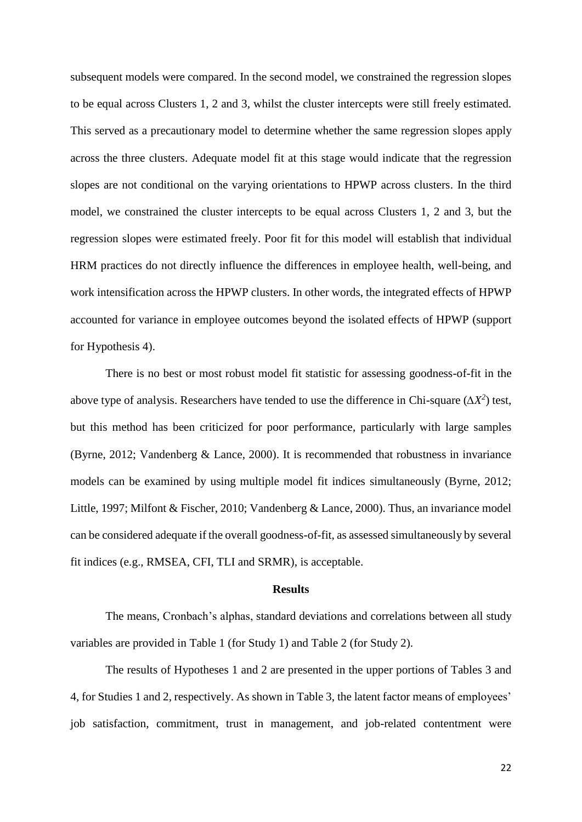subsequent models were compared. In the second model, we constrained the regression slopes to be equal across Clusters 1, 2 and 3, whilst the cluster intercepts were still freely estimated. This served as a precautionary model to determine whether the same regression slopes apply across the three clusters. Adequate model fit at this stage would indicate that the regression slopes are not conditional on the varying orientations to HPWP across clusters. In the third model, we constrained the cluster intercepts to be equal across Clusters 1, 2 and 3, but the regression slopes were estimated freely. Poor fit for this model will establish that individual HRM practices do not directly influence the differences in employee health, well-being, and work intensification across the HPWP clusters. In other words, the integrated effects of HPWP accounted for variance in employee outcomes beyond the isolated effects of HPWP (support for Hypothesis 4).

There is no best or most robust model fit statistic for assessing goodness-of-fit in the above type of analysis. Researchers have tended to use the difference in Chi-square  $(\Delta X^2)$  test, but this method has been criticized for poor performance, particularly with large samples (Byrne, 2012; Vandenberg & Lance, 2000). It is recommended that robustness in invariance models can be examined by using multiple model fit indices simultaneously (Byrne, 2012; Little, 1997; Milfont & Fischer, 2010; Vandenberg & Lance, 2000). Thus, an invariance model can be considered adequate if the overall goodness-of-fit, as assessed simultaneously by several fit indices (e.g., RMSEA, CFI, TLI and SRMR), is acceptable.

#### **Results**

The means, Cronbach's alphas, standard deviations and correlations between all study variables are provided in Table 1 (for Study 1) and Table 2 (for Study 2).

The results of Hypotheses 1 and 2 are presented in the upper portions of Tables 3 and 4, for Studies 1 and 2, respectively. As shown in Table 3, the latent factor means of employees' job satisfaction, commitment, trust in management, and job-related contentment were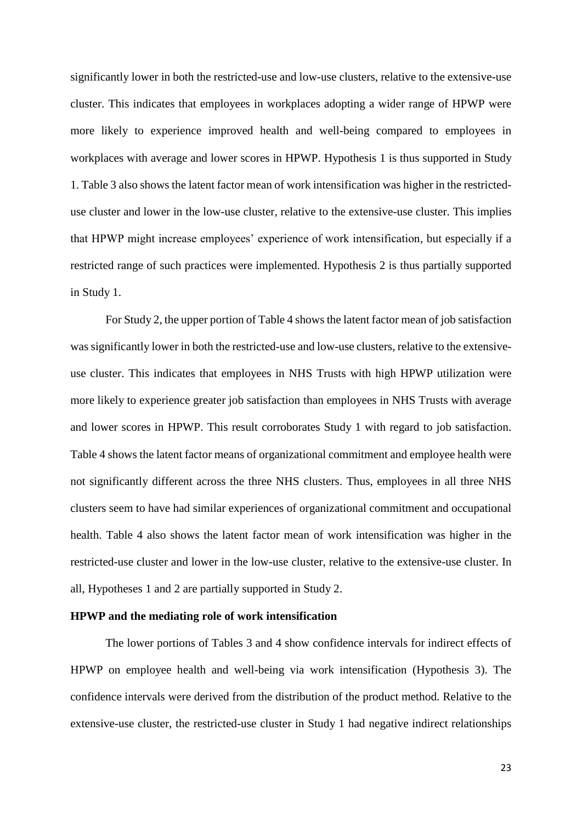significantly lower in both the restricted-use and low-use clusters, relative to the extensive-use cluster. This indicates that employees in workplaces adopting a wider range of HPWP were more likely to experience improved health and well-being compared to employees in workplaces with average and lower scores in HPWP. Hypothesis 1 is thus supported in Study 1. Table 3 also shows the latent factor mean of work intensification was higher in the restricteduse cluster and lower in the low-use cluster, relative to the extensive-use cluster. This implies that HPWP might increase employees' experience of work intensification, but especially if a restricted range of such practices were implemented. Hypothesis 2 is thus partially supported in Study 1.

For Study 2, the upper portion of Table 4 shows the latent factor mean of job satisfaction was significantly lower in both the restricted-use and low-use clusters, relative to the extensiveuse cluster. This indicates that employees in NHS Trusts with high HPWP utilization were more likely to experience greater job satisfaction than employees in NHS Trusts with average and lower scores in HPWP. This result corroborates Study 1 with regard to job satisfaction. Table 4 shows the latent factor means of organizational commitment and employee health were not significantly different across the three NHS clusters. Thus, employees in all three NHS clusters seem to have had similar experiences of organizational commitment and occupational health. Table 4 also shows the latent factor mean of work intensification was higher in the restricted-use cluster and lower in the low-use cluster, relative to the extensive-use cluster. In all, Hypotheses 1 and 2 are partially supported in Study 2.

#### **HPWP and the mediating role of work intensification**

The lower portions of Tables 3 and 4 show confidence intervals for indirect effects of HPWP on employee health and well-being via work intensification (Hypothesis 3). The confidence intervals were derived from the distribution of the product method. Relative to the extensive-use cluster, the restricted-use cluster in Study 1 had negative indirect relationships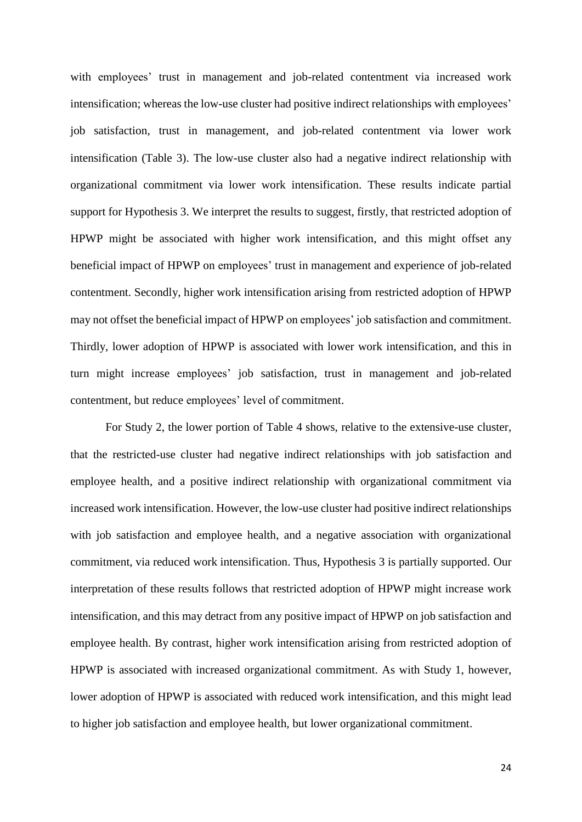with employees' trust in management and job-related contentment via increased work intensification; whereas the low-use cluster had positive indirect relationships with employees' job satisfaction, trust in management, and job-related contentment via lower work intensification (Table 3). The low-use cluster also had a negative indirect relationship with organizational commitment via lower work intensification. These results indicate partial support for Hypothesis 3. We interpret the results to suggest, firstly, that restricted adoption of HPWP might be associated with higher work intensification, and this might offset any beneficial impact of HPWP on employees' trust in management and experience of job-related contentment. Secondly, higher work intensification arising from restricted adoption of HPWP may not offset the beneficial impact of HPWP on employees' job satisfaction and commitment. Thirdly, lower adoption of HPWP is associated with lower work intensification, and this in turn might increase employees' job satisfaction, trust in management and job-related contentment, but reduce employees' level of commitment.

For Study 2, the lower portion of Table 4 shows, relative to the extensive-use cluster, that the restricted-use cluster had negative indirect relationships with job satisfaction and employee health, and a positive indirect relationship with organizational commitment via increased work intensification. However, the low-use cluster had positive indirect relationships with job satisfaction and employee health, and a negative association with organizational commitment, via reduced work intensification. Thus, Hypothesis 3 is partially supported. Our interpretation of these results follows that restricted adoption of HPWP might increase work intensification, and this may detract from any positive impact of HPWP on job satisfaction and employee health. By contrast, higher work intensification arising from restricted adoption of HPWP is associated with increased organizational commitment. As with Study 1, however, lower adoption of HPWP is associated with reduced work intensification, and this might lead to higher job satisfaction and employee health, but lower organizational commitment.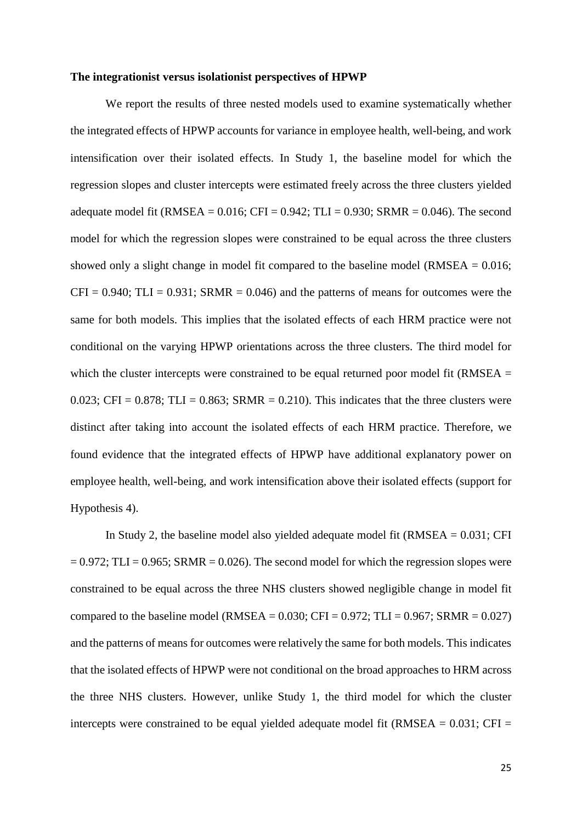#### **The integrationist versus isolationist perspectives of HPWP**

We report the results of three nested models used to examine systematically whether the integrated effects of HPWP accounts for variance in employee health, well-being, and work intensification over their isolated effects. In Study 1, the baseline model for which the regression slopes and cluster intercepts were estimated freely across the three clusters yielded adequate model fit (RMSEA =  $0.016$ ; CFI =  $0.942$ ; TLI =  $0.930$ ; SRMR =  $0.046$ ). The second model for which the regression slopes were constrained to be equal across the three clusters showed only a slight change in model fit compared to the baseline model (RMSEA  $= 0.016$ ;  $CFI = 0.940$ ;  $TLI = 0.931$ ;  $SRMR = 0.046$ ) and the patterns of means for outcomes were the same for both models. This implies that the isolated effects of each HRM practice were not conditional on the varying HPWP orientations across the three clusters. The third model for which the cluster intercepts were constrained to be equal returned poor model fit (RMSEA = 0.023; CFI = 0.878; TLI = 0.863; SRMR = 0.210). This indicates that the three clusters were distinct after taking into account the isolated effects of each HRM practice. Therefore, we found evidence that the integrated effects of HPWP have additional explanatory power on employee health, well-being, and work intensification above their isolated effects (support for Hypothesis 4).

In Study 2, the baseline model also yielded adequate model fit (RMSEA = 0.031; CFI  $= 0.972$ ; TLI = 0.965; SRMR = 0.026). The second model for which the regression slopes were constrained to be equal across the three NHS clusters showed negligible change in model fit compared to the baseline model (RMSEA =  $0.030$ ; CFI =  $0.972$ ; TLI =  $0.967$ ; SRMR =  $0.027$ ) and the patterns of means for outcomes were relatively the same for both models. This indicates that the isolated effects of HPWP were not conditional on the broad approaches to HRM across the three NHS clusters. However, unlike Study 1, the third model for which the cluster intercepts were constrained to be equal yielded adequate model fit (RMSEA  $= 0.031$ ; CFI  $=$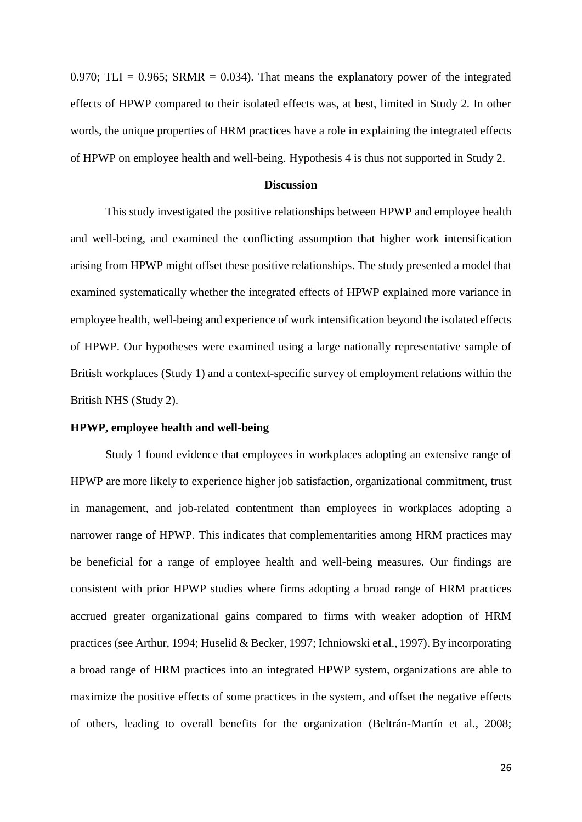0.970; TLI =  $0.965$ ; SRMR = 0.034). That means the explanatory power of the integrated effects of HPWP compared to their isolated effects was, at best, limited in Study 2. In other words, the unique properties of HRM practices have a role in explaining the integrated effects of HPWP on employee health and well-being. Hypothesis 4 is thus not supported in Study 2.

#### **Discussion**

This study investigated the positive relationships between HPWP and employee health and well-being, and examined the conflicting assumption that higher work intensification arising from HPWP might offset these positive relationships. The study presented a model that examined systematically whether the integrated effects of HPWP explained more variance in employee health, well-being and experience of work intensification beyond the isolated effects of HPWP. Our hypotheses were examined using a large nationally representative sample of British workplaces (Study 1) and a context-specific survey of employment relations within the British NHS (Study 2).

#### **HPWP, employee health and well-being**

Study 1 found evidence that employees in workplaces adopting an extensive range of HPWP are more likely to experience higher job satisfaction, organizational commitment, trust in management, and job-related contentment than employees in workplaces adopting a narrower range of HPWP. This indicates that complementarities among HRM practices may be beneficial for a range of employee health and well-being measures. Our findings are consistent with prior HPWP studies where firms adopting a broad range of HRM practices accrued greater organizational gains compared to firms with weaker adoption of HRM practices (see Arthur, 1994; Huselid & Becker, 1997; Ichniowski et al., 1997). By incorporating a broad range of HRM practices into an integrated HPWP system, organizations are able to maximize the positive effects of some practices in the system, and offset the negative effects of others, leading to overall benefits for the organization (Beltrán-Martín et al., 2008;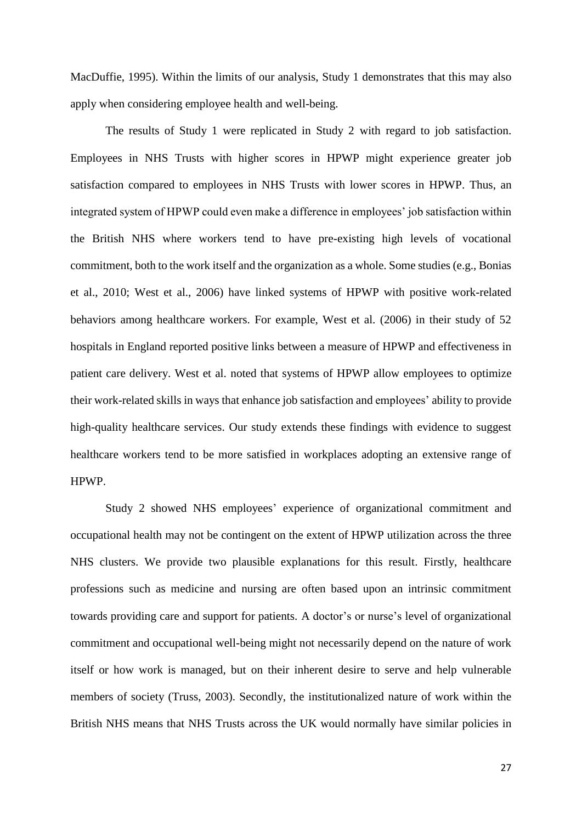MacDuffie, 1995). Within the limits of our analysis, Study 1 demonstrates that this may also apply when considering employee health and well-being.

The results of Study 1 were replicated in Study 2 with regard to job satisfaction. Employees in NHS Trusts with higher scores in HPWP might experience greater job satisfaction compared to employees in NHS Trusts with lower scores in HPWP. Thus, an integrated system of HPWP could even make a difference in employees' job satisfaction within the British NHS where workers tend to have pre-existing high levels of vocational commitment, both to the work itself and the organization as a whole. Some studies (e.g., Bonias et al., 2010; West et al., 2006) have linked systems of HPWP with positive work-related behaviors among healthcare workers. For example, West et al. (2006) in their study of 52 hospitals in England reported positive links between a measure of HPWP and effectiveness in patient care delivery. West et al. noted that systems of HPWP allow employees to optimize their work-related skills in ways that enhance job satisfaction and employees' ability to provide high-quality healthcare services. Our study extends these findings with evidence to suggest healthcare workers tend to be more satisfied in workplaces adopting an extensive range of HPWP.

Study 2 showed NHS employees' experience of organizational commitment and occupational health may not be contingent on the extent of HPWP utilization across the three NHS clusters. We provide two plausible explanations for this result. Firstly, healthcare professions such as medicine and nursing are often based upon an intrinsic commitment towards providing care and support for patients. A doctor's or nurse's level of organizational commitment and occupational well-being might not necessarily depend on the nature of work itself or how work is managed, but on their inherent desire to serve and help vulnerable members of society (Truss, 2003). Secondly, the institutionalized nature of work within the British NHS means that NHS Trusts across the UK would normally have similar policies in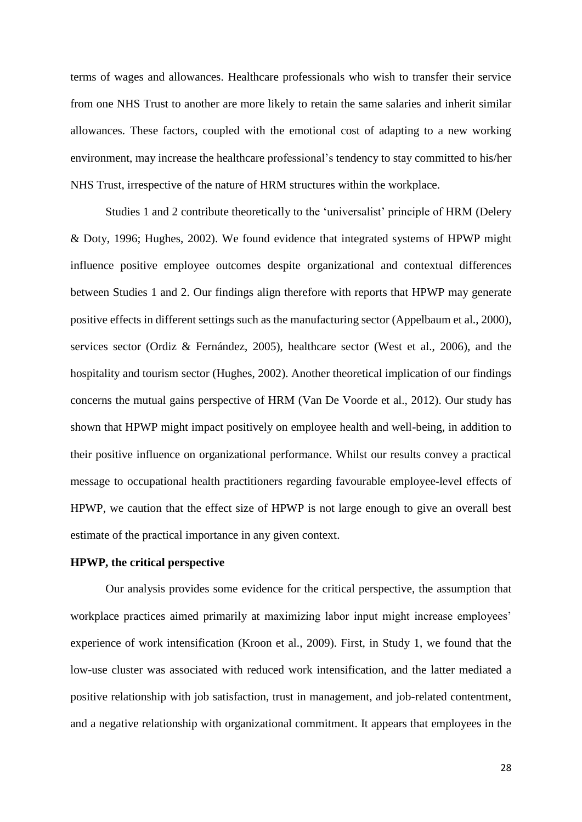terms of wages and allowances. Healthcare professionals who wish to transfer their service from one NHS Trust to another are more likely to retain the same salaries and inherit similar allowances. These factors, coupled with the emotional cost of adapting to a new working environment, may increase the healthcare professional's tendency to stay committed to his/her NHS Trust, irrespective of the nature of HRM structures within the workplace.

Studies 1 and 2 contribute theoretically to the 'universalist' principle of HRM (Delery & Doty, 1996; Hughes, 2002). We found evidence that integrated systems of HPWP might influence positive employee outcomes despite organizational and contextual differences between Studies 1 and 2. Our findings align therefore with reports that HPWP may generate positive effects in different settings such as the manufacturing sector (Appelbaum et al., 2000), services sector (Ordiz & Fernández, 2005), healthcare sector (West et al., 2006), and the hospitality and tourism sector (Hughes, 2002). Another theoretical implication of our findings concerns the mutual gains perspective of HRM (Van De Voorde et al., 2012). Our study has shown that HPWP might impact positively on employee health and well-being, in addition to their positive influence on organizational performance. Whilst our results convey a practical message to occupational health practitioners regarding favourable employee-level effects of HPWP, we caution that the effect size of HPWP is not large enough to give an overall best estimate of the practical importance in any given context.

#### **HPWP, the critical perspective**

Our analysis provides some evidence for the critical perspective, the assumption that workplace practices aimed primarily at maximizing labor input might increase employees' experience of work intensification (Kroon et al., 2009). First, in Study 1, we found that the low-use cluster was associated with reduced work intensification, and the latter mediated a positive relationship with job satisfaction, trust in management, and job-related contentment, and a negative relationship with organizational commitment. It appears that employees in the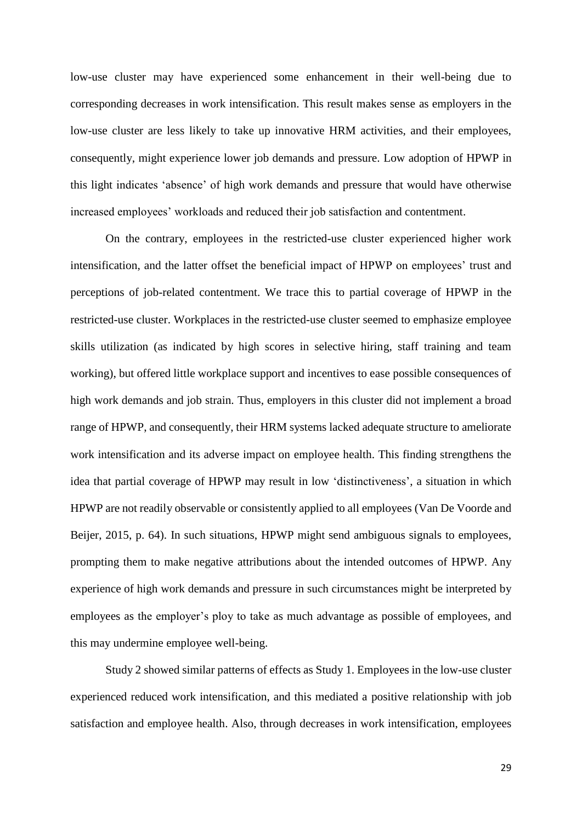low-use cluster may have experienced some enhancement in their well-being due to corresponding decreases in work intensification. This result makes sense as employers in the low-use cluster are less likely to take up innovative HRM activities, and their employees, consequently, might experience lower job demands and pressure. Low adoption of HPWP in this light indicates 'absence' of high work demands and pressure that would have otherwise increased employees' workloads and reduced their job satisfaction and contentment.

On the contrary, employees in the restricted-use cluster experienced higher work intensification, and the latter offset the beneficial impact of HPWP on employees' trust and perceptions of job-related contentment. We trace this to partial coverage of HPWP in the restricted-use cluster. Workplaces in the restricted-use cluster seemed to emphasize employee skills utilization (as indicated by high scores in selective hiring, staff training and team working), but offered little workplace support and incentives to ease possible consequences of high work demands and job strain. Thus, employers in this cluster did not implement a broad range of HPWP, and consequently, their HRM systems lacked adequate structure to ameliorate work intensification and its adverse impact on employee health. This finding strengthens the idea that partial coverage of HPWP may result in low 'distinctiveness', a situation in which HPWP are not readily observable or consistently applied to all employees (Van De Voorde and Beijer, 2015, p. 64). In such situations, HPWP might send ambiguous signals to employees, prompting them to make negative attributions about the intended outcomes of HPWP. Any experience of high work demands and pressure in such circumstances might be interpreted by employees as the employer's ploy to take as much advantage as possible of employees, and this may undermine employee well-being.

Study 2 showed similar patterns of effects as Study 1. Employees in the low-use cluster experienced reduced work intensification, and this mediated a positive relationship with job satisfaction and employee health. Also, through decreases in work intensification, employees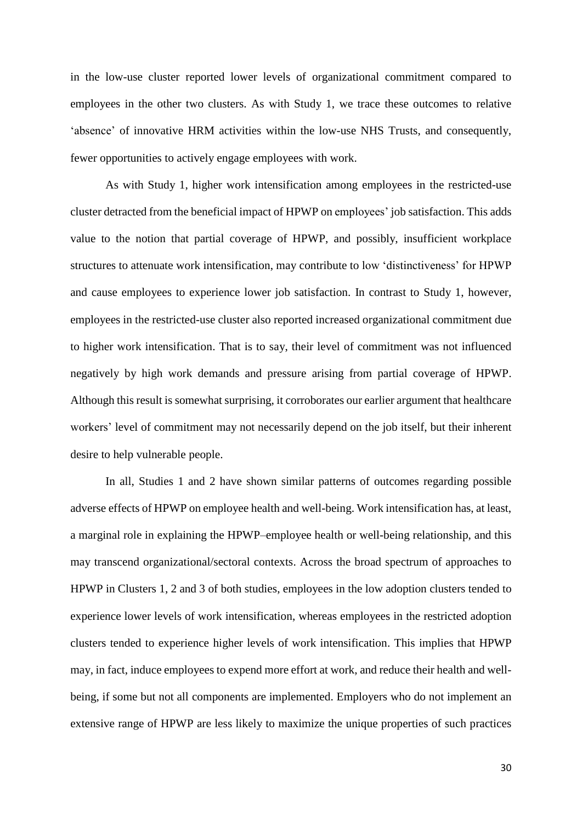in the low-use cluster reported lower levels of organizational commitment compared to employees in the other two clusters. As with Study 1, we trace these outcomes to relative 'absence' of innovative HRM activities within the low-use NHS Trusts, and consequently, fewer opportunities to actively engage employees with work.

As with Study 1, higher work intensification among employees in the restricted-use cluster detracted from the beneficial impact of HPWP on employees' job satisfaction. This adds value to the notion that partial coverage of HPWP, and possibly, insufficient workplace structures to attenuate work intensification, may contribute to low 'distinctiveness' for HPWP and cause employees to experience lower job satisfaction. In contrast to Study 1, however, employees in the restricted-use cluster also reported increased organizational commitment due to higher work intensification. That is to say, their level of commitment was not influenced negatively by high work demands and pressure arising from partial coverage of HPWP. Although this result is somewhat surprising, it corroborates our earlier argument that healthcare workers' level of commitment may not necessarily depend on the job itself, but their inherent desire to help vulnerable people.

In all, Studies 1 and 2 have shown similar patterns of outcomes regarding possible adverse effects of HPWP on employee health and well-being. Work intensification has, at least, a marginal role in explaining the HPWP–employee health or well-being relationship, and this may transcend organizational/sectoral contexts. Across the broad spectrum of approaches to HPWP in Clusters 1, 2 and 3 of both studies, employees in the low adoption clusters tended to experience lower levels of work intensification, whereas employees in the restricted adoption clusters tended to experience higher levels of work intensification. This implies that HPWP may, in fact, induce employees to expend more effort at work, and reduce their health and wellbeing, if some but not all components are implemented. Employers who do not implement an extensive range of HPWP are less likely to maximize the unique properties of such practices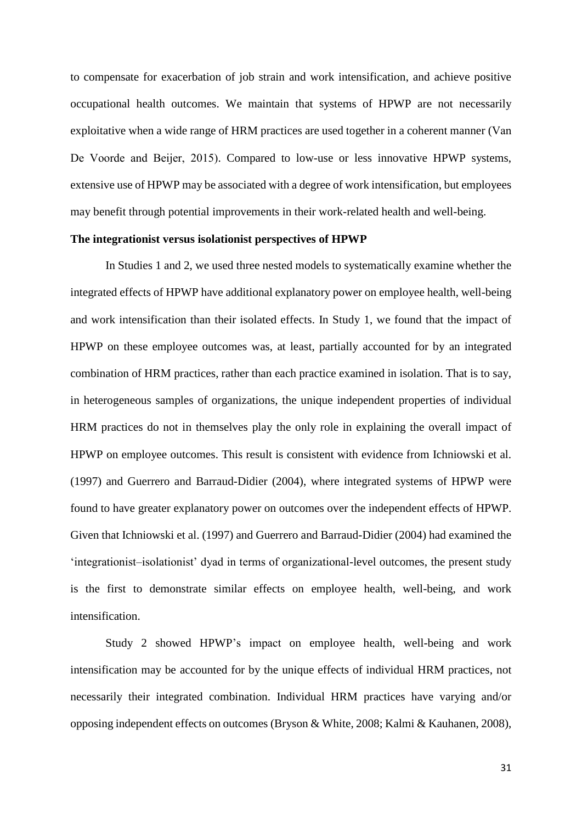to compensate for exacerbation of job strain and work intensification, and achieve positive occupational health outcomes. We maintain that systems of HPWP are not necessarily exploitative when a wide range of HRM practices are used together in a coherent manner (Van De Voorde and Beijer, 2015). Compared to low-use or less innovative HPWP systems, extensive use of HPWP may be associated with a degree of work intensification, but employees may benefit through potential improvements in their work-related health and well-being.

#### **The integrationist versus isolationist perspectives of HPWP**

In Studies 1 and 2, we used three nested models to systematically examine whether the integrated effects of HPWP have additional explanatory power on employee health, well-being and work intensification than their isolated effects. In Study 1, we found that the impact of HPWP on these employee outcomes was, at least, partially accounted for by an integrated combination of HRM practices, rather than each practice examined in isolation. That is to say, in heterogeneous samples of organizations, the unique independent properties of individual HRM practices do not in themselves play the only role in explaining the overall impact of HPWP on employee outcomes. This result is consistent with evidence from Ichniowski et al. (1997) and Guerrero and Barraud-Didier (2004), where integrated systems of HPWP were found to have greater explanatory power on outcomes over the independent effects of HPWP. Given that Ichniowski et al. (1997) and Guerrero and Barraud-Didier (2004) had examined the 'integrationist–isolationist' dyad in terms of organizational-level outcomes, the present study is the first to demonstrate similar effects on employee health, well-being, and work intensification.

Study 2 showed HPWP's impact on employee health, well-being and work intensification may be accounted for by the unique effects of individual HRM practices, not necessarily their integrated combination. Individual HRM practices have varying and/or opposing independent effects on outcomes (Bryson & White, 2008; Kalmi & Kauhanen, 2008),

31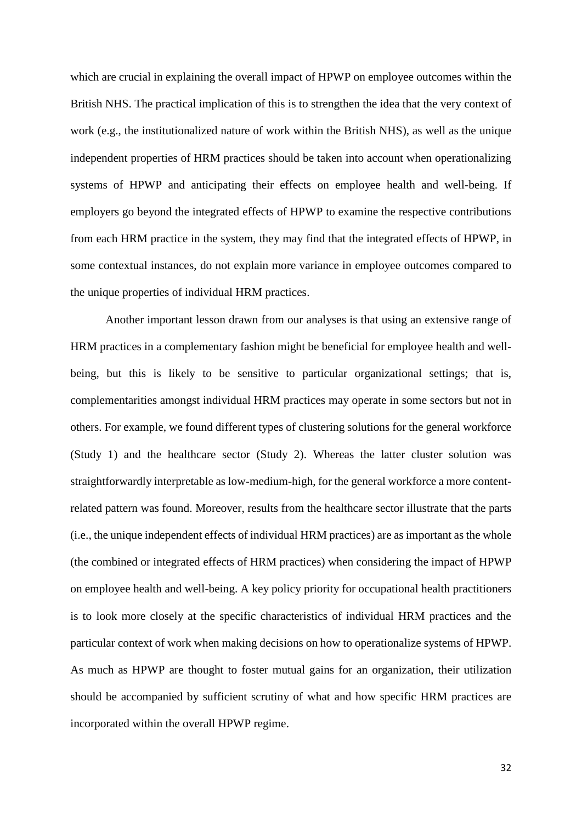which are crucial in explaining the overall impact of HPWP on employee outcomes within the British NHS. The practical implication of this is to strengthen the idea that the very context of work (e.g., the institutionalized nature of work within the British NHS), as well as the unique independent properties of HRM practices should be taken into account when operationalizing systems of HPWP and anticipating their effects on employee health and well-being. If employers go beyond the integrated effects of HPWP to examine the respective contributions from each HRM practice in the system, they may find that the integrated effects of HPWP, in some contextual instances, do not explain more variance in employee outcomes compared to the unique properties of individual HRM practices.

Another important lesson drawn from our analyses is that using an extensive range of HRM practices in a complementary fashion might be beneficial for employee health and wellbeing, but this is likely to be sensitive to particular organizational settings; that is, complementarities amongst individual HRM practices may operate in some sectors but not in others. For example, we found different types of clustering solutions for the general workforce (Study 1) and the healthcare sector (Study 2). Whereas the latter cluster solution was straightforwardly interpretable as low-medium-high, for the general workforce a more contentrelated pattern was found. Moreover, results from the healthcare sector illustrate that the parts (i.e., the unique independent effects of individual HRM practices) are as important as the whole (the combined or integrated effects of HRM practices) when considering the impact of HPWP on employee health and well-being. A key policy priority for occupational health practitioners is to look more closely at the specific characteristics of individual HRM practices and the particular context of work when making decisions on how to operationalize systems of HPWP. As much as HPWP are thought to foster mutual gains for an organization, their utilization should be accompanied by sufficient scrutiny of what and how specific HRM practices are incorporated within the overall HPWP regime.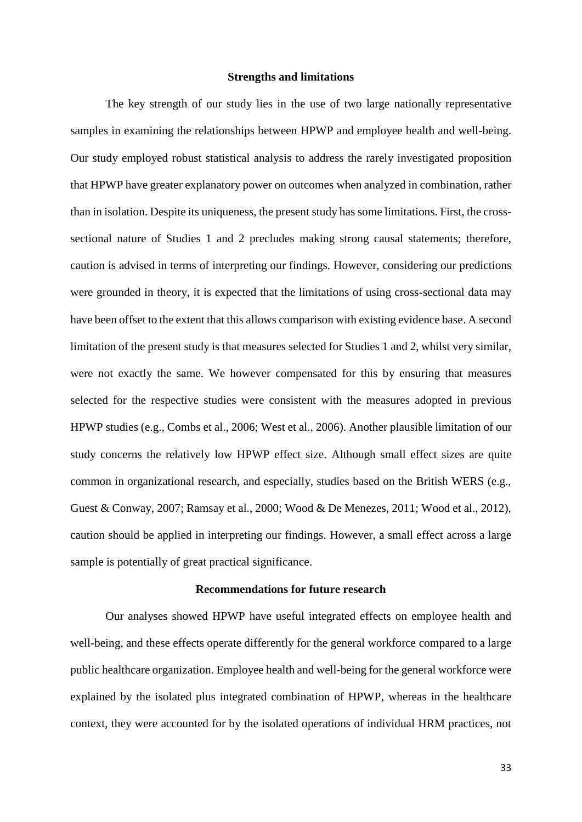#### **Strengths and limitations**

The key strength of our study lies in the use of two large nationally representative samples in examining the relationships between HPWP and employee health and well-being. Our study employed robust statistical analysis to address the rarely investigated proposition that HPWP have greater explanatory power on outcomes when analyzed in combination, rather than in isolation. Despite its uniqueness, the present study has some limitations. First, the crosssectional nature of Studies 1 and 2 precludes making strong causal statements; therefore, caution is advised in terms of interpreting our findings. However, considering our predictions were grounded in theory, it is expected that the limitations of using cross-sectional data may have been offset to the extent that this allows comparison with existing evidence base. A second limitation of the present study is that measures selected for Studies 1 and 2, whilst very similar, were not exactly the same. We however compensated for this by ensuring that measures selected for the respective studies were consistent with the measures adopted in previous HPWP studies (e.g., Combs et al., 2006; West et al., 2006). Another plausible limitation of our study concerns the relatively low HPWP effect size. Although small effect sizes are quite common in organizational research, and especially, studies based on the British WERS (e.g., Guest & Conway, 2007; Ramsay et al., 2000; Wood & De Menezes, 2011; Wood et al., 2012), caution should be applied in interpreting our findings. However, a small effect across a large sample is potentially of great practical significance.

#### **Recommendations for future research**

Our analyses showed HPWP have useful integrated effects on employee health and well-being, and these effects operate differently for the general workforce compared to a large public healthcare organization. Employee health and well-being for the general workforce were explained by the isolated plus integrated combination of HPWP, whereas in the healthcare context, they were accounted for by the isolated operations of individual HRM practices, not

33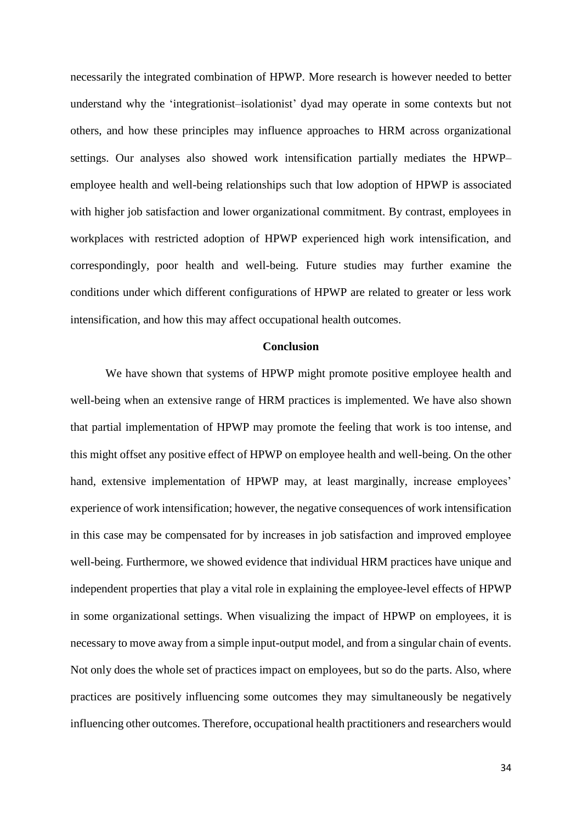necessarily the integrated combination of HPWP. More research is however needed to better understand why the 'integrationist–isolationist' dyad may operate in some contexts but not others, and how these principles may influence approaches to HRM across organizational settings. Our analyses also showed work intensification partially mediates the HPWP– employee health and well-being relationships such that low adoption of HPWP is associated with higher job satisfaction and lower organizational commitment. By contrast, employees in workplaces with restricted adoption of HPWP experienced high work intensification, and correspondingly, poor health and well-being. Future studies may further examine the conditions under which different configurations of HPWP are related to greater or less work intensification, and how this may affect occupational health outcomes.

#### **Conclusion**

We have shown that systems of HPWP might promote positive employee health and well-being when an extensive range of HRM practices is implemented. We have also shown that partial implementation of HPWP may promote the feeling that work is too intense, and this might offset any positive effect of HPWP on employee health and well-being. On the other hand, extensive implementation of HPWP may, at least marginally, increase employees' experience of work intensification; however, the negative consequences of work intensification in this case may be compensated for by increases in job satisfaction and improved employee well-being. Furthermore, we showed evidence that individual HRM practices have unique and independent properties that play a vital role in explaining the employee-level effects of HPWP in some organizational settings. When visualizing the impact of HPWP on employees, it is necessary to move away from a simple input-output model, and from a singular chain of events. Not only does the whole set of practices impact on employees, but so do the parts. Also, where practices are positively influencing some outcomes they may simultaneously be negatively influencing other outcomes. Therefore, occupational health practitioners and researchers would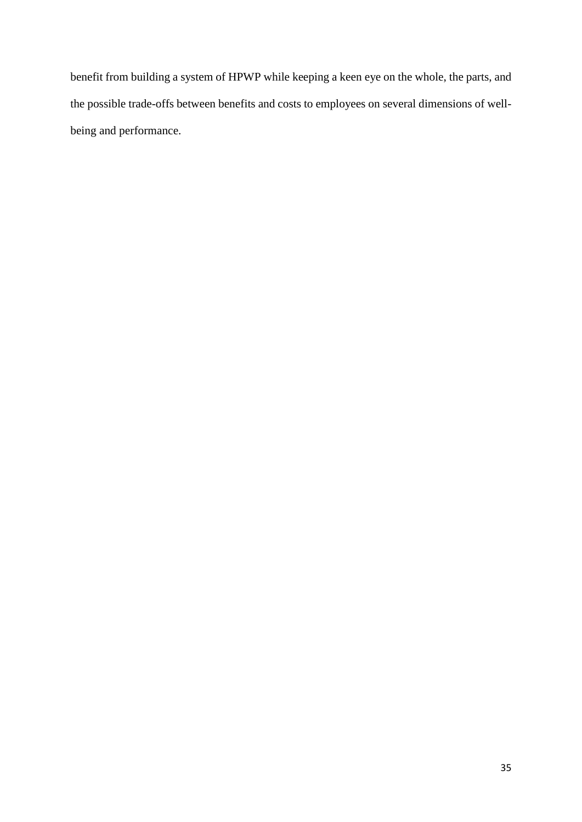benefit from building a system of HPWP while keeping a keen eye on the whole, the parts, and the possible trade-offs between benefits and costs to employees on several dimensions of wellbeing and performance.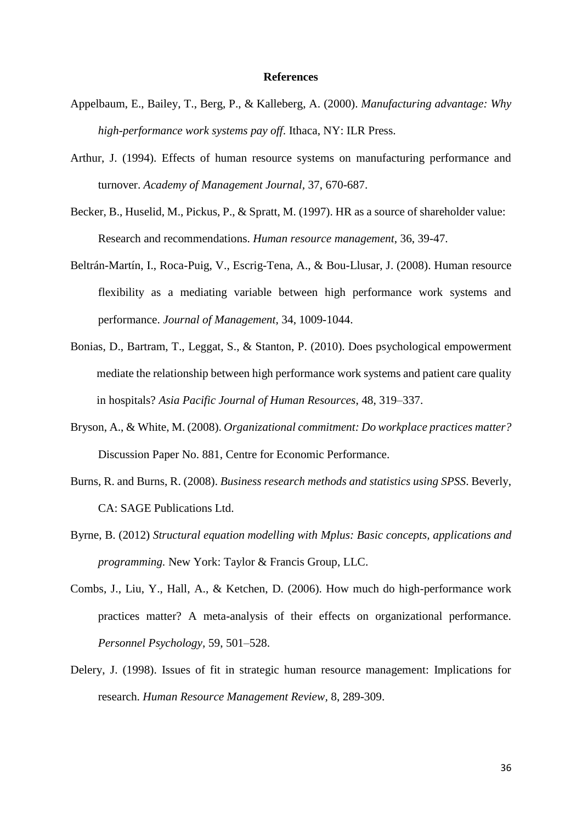#### **References**

- Appelbaum, E., Bailey, T., Berg, P., & Kalleberg, A. (2000). *Manufacturing advantage: Why high-performance work systems pay off*. Ithaca, NY: ILR Press.
- Arthur, J. (1994). Effects of human resource systems on manufacturing performance and turnover. *Academy of Management Journal,* 37, 670-687.
- Becker, B., Huselid, M., Pickus, P., & Spratt, M. (1997). HR as a source of shareholder value: Research and recommendations. *Human resource management*, 36, 39-47.
- Beltrán-Martín, I., Roca-Puig, V., Escrig-Tena, A., & Bou-Llusar, J. (2008). Human resource flexibility as a mediating variable between high performance work systems and performance. *Journal of Management*, 34, 1009-1044.
- Bonias, D., Bartram, T., Leggat, S., & Stanton, P. (2010). Does psychological empowerment mediate the relationship between high performance work systems and patient care quality in hospitals? *Asia Pacific Journal of Human Resources*, 48, 319–337.
- Bryson, A., & White, M. (2008). *Organizational commitment: Do workplace practices matter?* Discussion Paper No. 881, Centre for Economic Performance.
- Burns, R. and Burns, R. (2008). *Business research methods and statistics using SPSS*. Beverly, CA: SAGE Publications Ltd.
- Byrne, B. (2012) *Structural equation modelling with Mplus: Basic concepts, applications and programming.* New York: Taylor & Francis Group, LLC.
- Combs, J., Liu, Y., Hall, A., & Ketchen, D. (2006). How much do high-performance work practices matter? A meta-analysis of their effects on organizational performance. *Personnel Psychology,* 59, 501–528.
- Delery, J. (1998). Issues of fit in strategic human resource management: Implications for research. *Human Resource Management Review,* 8, 289-309.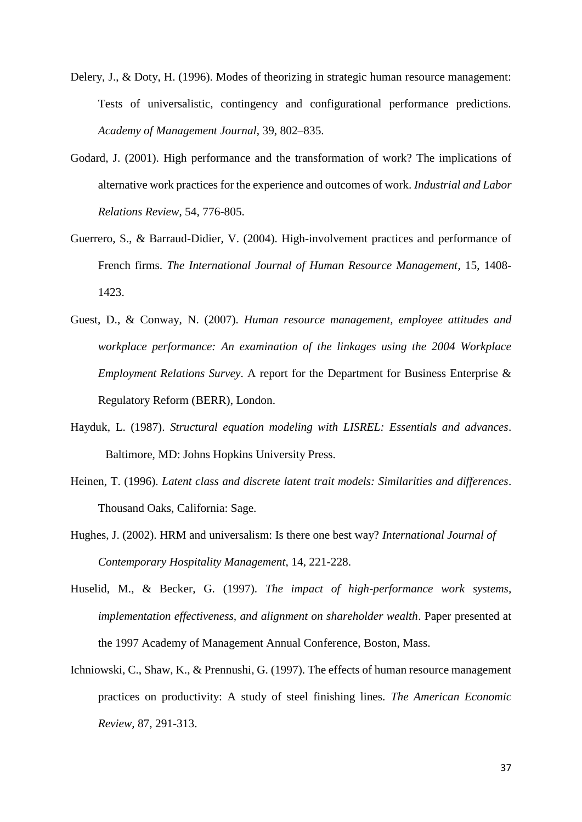- Delery, J., & Doty, H. (1996). Modes of theorizing in strategic human resource management: Tests of universalistic, contingency and configurational performance predictions. *Academy of Management Journal*, 39, 802–835.
- Godard, J. (2001). High performance and the transformation of work? The implications of alternative work practices for the experience and outcomes of work. *Industrial and Labor Relations Review*, 54, 776-805.
- Guerrero, S., & Barraud-Didier, V. (2004). High-involvement practices and performance of French firms. *The International Journal of Human Resource Management*, 15, 1408- 1423.
- Guest, D., & Conway, N. (2007). *Human resource management, employee attitudes and workplace performance: An examination of the linkages using the 2004 Workplace Employment Relations Survey*. A report for the Department for Business Enterprise & Regulatory Reform (BERR), London.
- Hayduk, L. (1987). *Structural equation modeling with LISREL: Essentials and advances*. Baltimore, MD: Johns Hopkins University Press.
- Heinen, T. (1996). *Latent class and discrete latent trait models: Similarities and differences*. Thousand Oaks, California: Sage.
- Hughes, J. (2002). HRM and universalism: Is there one best way? *International Journal of Contemporary Hospitality Management*, 14, 221-228.
- Huselid, M., & Becker, G. (1997). *The impact of high-performance work systems, implementation effectiveness, and alignment on shareholder wealth*. Paper presented at the 1997 Academy of Management Annual Conference, Boston, Mass.
- Ichniowski, C., Shaw, K., & Prennushi, G. (1997). The effects of human resource management practices on productivity: A study of steel finishing lines. *The American Economic Review,* 87, 291-313.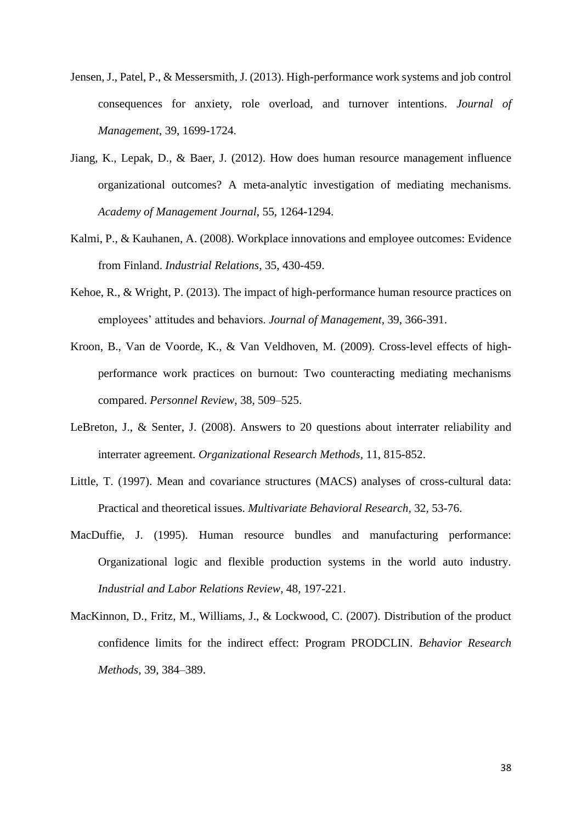- Jensen, J., Patel, P., & Messersmith, J. (2013). High-performance work systems and job control consequences for anxiety, role overload, and turnover intentions. *Journal of Management*, 39, 1699-1724.
- Jiang, K., Lepak, D., & Baer, J. (2012). How does human resource management influence organizational outcomes? A meta-analytic investigation of mediating mechanisms. *Academy of Management Journal*, 55, 1264-1294.
- Kalmi, P., & Kauhanen, A. (2008). Workplace innovations and employee outcomes: Evidence from Finland. *Industrial Relations,* 35, 430-459.
- Kehoe, R., & Wright, P. (2013). The impact of high-performance human resource practices on employees' attitudes and behaviors. *Journal of Management*, 39, 366-391.
- Kroon, B., Van de Voorde, K., & Van Veldhoven, M. (2009). Cross-level effects of highperformance work practices on burnout: Two counteracting mediating mechanisms compared. *Personnel Review*, 38, 509–525.
- LeBreton, J., & Senter, J. (2008). Answers to 20 questions about interrater reliability and interrater agreement. *Organizational Research Methods,* 11, 815-852.
- Little, T. (1997). Mean and covariance structures (MACS) analyses of cross-cultural data: Practical and theoretical issues. *Multivariate Behavioral Research*, 32, 53-76.
- MacDuffie, J. (1995). Human resource bundles and manufacturing performance: Organizational logic and flexible production systems in the world auto industry. *Industrial and Labor Relations Review*, 48, 197-221.
- MacKinnon, D., Fritz, M., Williams, J., & Lockwood, C. (2007). Distribution of the product confidence limits for the indirect effect: Program PRODCLIN. *Behavior Research Methods*, 39, 384–389.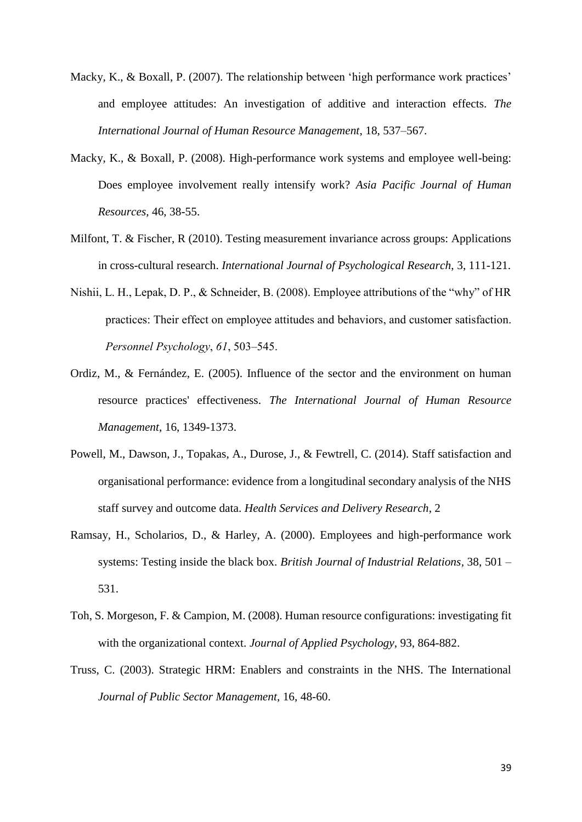- Macky, K., & Boxall, P. (2007). The relationship between 'high performance work practices' and employee attitudes: An investigation of additive and interaction effects. *The International Journal of Human Resource Management*, 18, 537–567.
- Macky, K., & Boxall, P. (2008). High-performance work systems and employee well-being: Does employee involvement really intensify work? *Asia Pacific Journal of Human Resources,* 46, 38-55.
- Milfont, T. & Fischer, R (2010). Testing measurement invariance across groups: Applications in cross-cultural research. *International Journal of Psychological Research*, 3, 111-121.
- Nishii, L. H., Lepak, D. P., & Schneider, B. (2008). Employee attributions of the "why" of HR practices: Their effect on employee attitudes and behaviors, and customer satisfaction. *Personnel Psychology*, *61*, 503–545.
- Ordiz, M., & Fernández, E. (2005). Influence of the sector and the environment on human resource practices' effectiveness. *The International Journal of Human Resource Management*, 16, 1349-1373.
- Powell, M., Dawson, J., Topakas, A., Durose, J., & Fewtrell, C. (2014). Staff satisfaction and organisational performance: evidence from a longitudinal secondary analysis of the NHS staff survey and outcome data. *Health Services and Delivery Research*, 2
- Ramsay, H., Scholarios, D., & Harley, A. (2000). Employees and high-performance work systems: Testing inside the black box. *British Journal of Industrial Relations,* 38, 501 – 531.
- Toh, S. Morgeson, F. & Campion, M. (2008). Human resource configurations: investigating fit with the organizational context. *Journal of Applied Psychology*, 93, 864-882.
- Truss, C. (2003). Strategic HRM: Enablers and constraints in the NHS. The International *Journal of Public Sector Management*, 16, 48-60.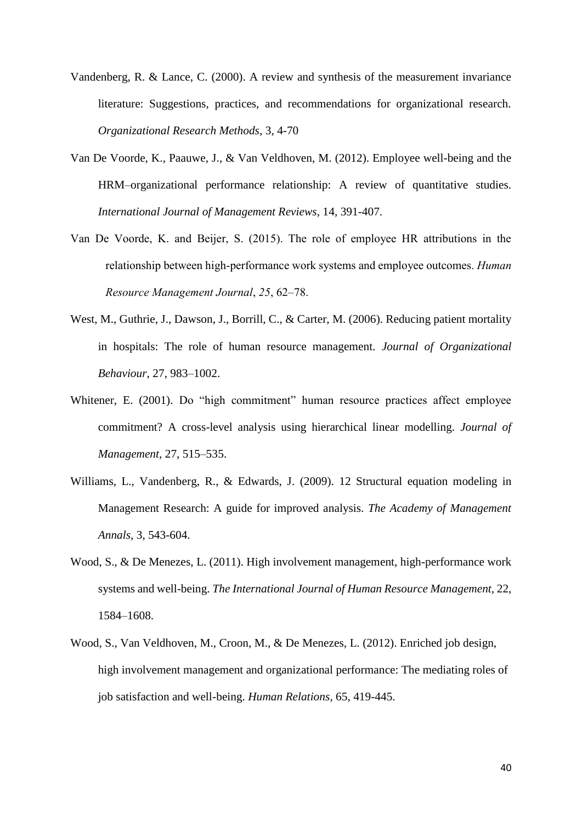- Vandenberg, R. & Lance, C. (2000). A review and synthesis of the measurement invariance literature: Suggestions, practices, and recommendations for organizational research. *Organizational Research Methods*, 3, 4-70
- Van De Voorde, K., Paauwe, J., & Van Veldhoven, M. (2012). Employee well-being and the HRM–organizational performance relationship: A review of quantitative studies. *International Journal of Management Reviews*, 14, 391-407.
- Van De Voorde, K. and Beijer, S. (2015). The role of employee HR attributions in the relationship between high-performance work systems and employee outcomes. *Human Resource Management Journal*, *25*, 62–78.
- West, M., Guthrie, J., Dawson, J., Borrill, C., & Carter, M. (2006). Reducing patient mortality in hospitals: The role of human resource management. *Journal of Organizational Behaviour*, 27, 983–1002.
- Whitener, E. (2001). Do "high commitment" human resource practices affect employee commitment? A cross-level analysis using hierarchical linear modelling. *Journal of Management*, 27, 515–535.
- Williams, L., Vandenberg, R., & Edwards, J. (2009). 12 Structural equation modeling in Management Research: A guide for improved analysis. *The Academy of Management Annals,* 3, 543-604.
- Wood, S., & De Menezes, L. (2011). High involvement management, high-performance work systems and well-being. *The International Journal of Human Resource Management*, 22, 1584–1608.
- Wood, S., Van Veldhoven, M., Croon, M., & De Menezes, L. (2012). Enriched job design, high involvement management and organizational performance: The mediating roles of job satisfaction and well-being. *Human Relations*, 65, 419-445.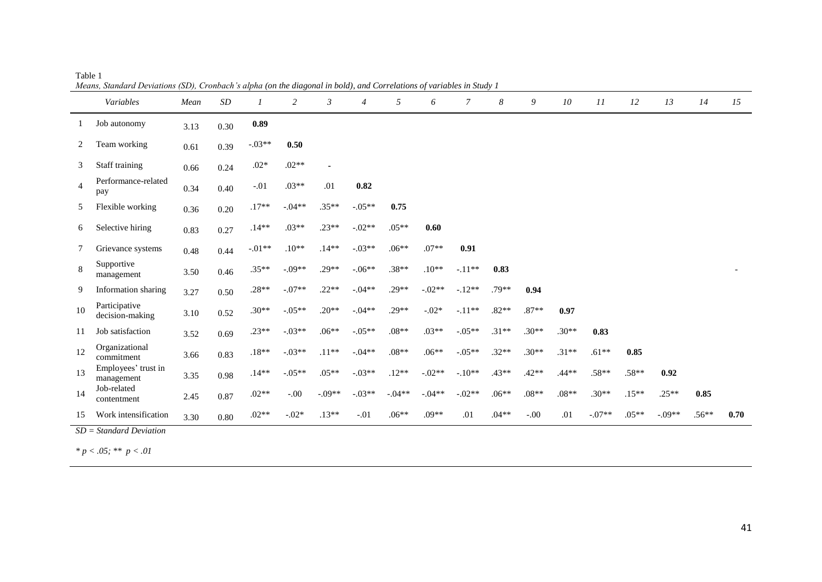| 0.89<br>Job autonomy<br>3.13<br>0.30<br>$-.03**$<br>0.50<br>2<br>Team working<br>0.39<br>0.61<br>$.02*$<br>$.02**$<br>Staff training<br>3<br>0.24<br>$\blacksquare$<br>0.66<br>Performance-related<br>$.03**$<br>.01<br>0.82<br>$\overline{4}$<br>$-.01$<br>0.34<br>0.40<br>pay<br>$.35**$<br>$.17**$<br>$-.04**$<br>$-.05**$<br>Flexible working<br>0.75<br>5<br>0.20<br>0.36<br>$.23**$<br>$.05**$<br>$.14**$<br>$.03**$<br>$-.02**$<br>Selective hiring<br>0.60<br>6<br>0.27<br>0.83<br>$.10**$<br>$.14**$<br>$-.01**$<br>$-.03**$<br>$.06**$<br>$.07**$<br>0.91<br>7<br>Grievance systems<br>0.48<br>0.44<br>Supportive<br>8<br>$.29**$<br>$.38**$<br>$.35**$<br>$-.09**$<br>$-.06**$<br>$.10**$<br>$-.11**$<br>0.83<br>0.46<br>3.50<br>management<br>$-.07**$<br>$.22**$<br>$.29**$<br>$.28**$<br>$-0.04**$<br>$-.02**$<br>$-12**$<br>.79**<br>0.94<br>9<br>Information sharing<br>0.50<br>3.27<br>Participative<br>$.20**$<br>$-.04**$<br>$.29**$<br>$.87**$<br>$.30**$<br>$-.05**$<br>$-.02*$<br>$-.11**$<br>$.82**$<br>10<br>0.97<br>0.52<br>3.10<br>decision-making<br>$-.03**$<br>$.06**$<br>$.30**$<br>$.30**$<br>$.23**$<br>$-.05**$<br>$.08**$<br>$.03**$<br>$-.05**$<br>$.31**$<br>0.83<br>Job satisfaction<br>11<br>3.52<br>0.69<br>Organizational<br>$.30**$<br>$-.03**$<br>$.11**$<br>$-.04**$<br>$.08**$<br>$.06**$<br>$.32**$<br>$.31**$<br>$.61**$<br>$.18**$<br>$-.05**$<br>0.85<br>12<br>0.83<br>3.66<br>commitment | mcuns, shanuaru Deviunons (5D), cronouen s'uipnu (on incluitzonui in oour), una corretumons of vuriables in simily 1<br>Variables | Mean | SD | 1 | $\overline{c}$ | $\mathfrak{Z}$ | $\overline{4}$ | 5 | 6 | $\overline{7}$ | 8 | 9 | 10 | 11      | 12 | 13 | 14 | 15   |
|-------------------------------------------------------------------------------------------------------------------------------------------------------------------------------------------------------------------------------------------------------------------------------------------------------------------------------------------------------------------------------------------------------------------------------------------------------------------------------------------------------------------------------------------------------------------------------------------------------------------------------------------------------------------------------------------------------------------------------------------------------------------------------------------------------------------------------------------------------------------------------------------------------------------------------------------------------------------------------------------------------------------------------------------------------------------------------------------------------------------------------------------------------------------------------------------------------------------------------------------------------------------------------------------------------------------------------------------------------------------------------------------------------------------------------------------|-----------------------------------------------------------------------------------------------------------------------------------|------|----|---|----------------|----------------|----------------|---|---|----------------|---|---|----|---------|----|----|----|------|
|                                                                                                                                                                                                                                                                                                                                                                                                                                                                                                                                                                                                                                                                                                                                                                                                                                                                                                                                                                                                                                                                                                                                                                                                                                                                                                                                                                                                                                           |                                                                                                                                   |      |    |   |                |                |                |   |   |                |   |   |    |         |    |    |    |      |
|                                                                                                                                                                                                                                                                                                                                                                                                                                                                                                                                                                                                                                                                                                                                                                                                                                                                                                                                                                                                                                                                                                                                                                                                                                                                                                                                                                                                                                           |                                                                                                                                   |      |    |   |                |                |                |   |   |                |   |   |    |         |    |    |    |      |
|                                                                                                                                                                                                                                                                                                                                                                                                                                                                                                                                                                                                                                                                                                                                                                                                                                                                                                                                                                                                                                                                                                                                                                                                                                                                                                                                                                                                                                           |                                                                                                                                   |      |    |   |                |                |                |   |   |                |   |   |    |         |    |    |    |      |
|                                                                                                                                                                                                                                                                                                                                                                                                                                                                                                                                                                                                                                                                                                                                                                                                                                                                                                                                                                                                                                                                                                                                                                                                                                                                                                                                                                                                                                           |                                                                                                                                   |      |    |   |                |                |                |   |   |                |   |   |    |         |    |    |    |      |
|                                                                                                                                                                                                                                                                                                                                                                                                                                                                                                                                                                                                                                                                                                                                                                                                                                                                                                                                                                                                                                                                                                                                                                                                                                                                                                                                                                                                                                           |                                                                                                                                   |      |    |   |                |                |                |   |   |                |   |   |    |         |    |    |    |      |
|                                                                                                                                                                                                                                                                                                                                                                                                                                                                                                                                                                                                                                                                                                                                                                                                                                                                                                                                                                                                                                                                                                                                                                                                                                                                                                                                                                                                                                           |                                                                                                                                   |      |    |   |                |                |                |   |   |                |   |   |    |         |    |    |    |      |
|                                                                                                                                                                                                                                                                                                                                                                                                                                                                                                                                                                                                                                                                                                                                                                                                                                                                                                                                                                                                                                                                                                                                                                                                                                                                                                                                                                                                                                           |                                                                                                                                   |      |    |   |                |                |                |   |   |                |   |   |    |         |    |    |    |      |
|                                                                                                                                                                                                                                                                                                                                                                                                                                                                                                                                                                                                                                                                                                                                                                                                                                                                                                                                                                                                                                                                                                                                                                                                                                                                                                                                                                                                                                           |                                                                                                                                   |      |    |   |                |                |                |   |   |                |   |   |    |         |    |    |    |      |
|                                                                                                                                                                                                                                                                                                                                                                                                                                                                                                                                                                                                                                                                                                                                                                                                                                                                                                                                                                                                                                                                                                                                                                                                                                                                                                                                                                                                                                           |                                                                                                                                   |      |    |   |                |                |                |   |   |                |   |   |    |         |    |    |    |      |
|                                                                                                                                                                                                                                                                                                                                                                                                                                                                                                                                                                                                                                                                                                                                                                                                                                                                                                                                                                                                                                                                                                                                                                                                                                                                                                                                                                                                                                           |                                                                                                                                   |      |    |   |                |                |                |   |   |                |   |   |    |         |    |    |    |      |
|                                                                                                                                                                                                                                                                                                                                                                                                                                                                                                                                                                                                                                                                                                                                                                                                                                                                                                                                                                                                                                                                                                                                                                                                                                                                                                                                                                                                                                           |                                                                                                                                   |      |    |   |                |                |                |   |   |                |   |   |    |         |    |    |    |      |
|                                                                                                                                                                                                                                                                                                                                                                                                                                                                                                                                                                                                                                                                                                                                                                                                                                                                                                                                                                                                                                                                                                                                                                                                                                                                                                                                                                                                                                           |                                                                                                                                   |      |    |   |                |                |                |   |   |                |   |   |    |         |    |    |    |      |
| $-.05**$<br>$.05**$<br>$-.03**$<br>$.12**$<br>$-.02**$<br>$.43**$<br>$.42**$<br>$.44**$<br>$.58**$<br>13<br>$.14**$<br>$-.10**$<br>0.92<br>0.98<br>3.35<br>management                                                                                                                                                                                                                                                                                                                                                                                                                                                                                                                                                                                                                                                                                                                                                                                                                                                                                                                                                                                                                                                                                                                                                                                                                                                                     | Employees' trust in                                                                                                               |      |    |   |                |                |                |   |   |                |   |   |    | $.58**$ |    |    |    |      |
| Job-related<br>$.08**$<br>$.02**$<br>$-.00$<br>$-.09**$<br>$-.03**$<br>$-04**$<br>$.08**$<br>$.30**$<br>$.15**$<br>$.25**$<br>$-.04**$<br>$-.02**$<br>$.06**$<br>0.85<br>14<br>0.87<br>2.45<br>contentment                                                                                                                                                                                                                                                                                                                                                                                                                                                                                                                                                                                                                                                                                                                                                                                                                                                                                                                                                                                                                                                                                                                                                                                                                                |                                                                                                                                   |      |    |   |                |                |                |   |   |                |   |   |    |         |    |    |    |      |
| $.02**$<br>$-.02*$<br>$.13**$<br>$-.01$<br>$.06**$<br>$.09**$<br>.01<br>$.04**$<br>.01<br>$-.07**$<br>$.05**$<br>$-.09**$<br>$.56**$<br>$-.00$<br>Work intensification<br>15<br>0.80<br>3.30<br>$SD = Standard Deviation$                                                                                                                                                                                                                                                                                                                                                                                                                                                                                                                                                                                                                                                                                                                                                                                                                                                                                                                                                                                                                                                                                                                                                                                                                 |                                                                                                                                   |      |    |   |                |                |                |   |   |                |   |   |    |         |    |    |    | 0.70 |

Table 1 *Means, Standard Deviations (SD), Cronbach's alpha (on the diagonal in bold), and Correlations of variables in Study 1*

*\* p < .05; \*\* p < .01*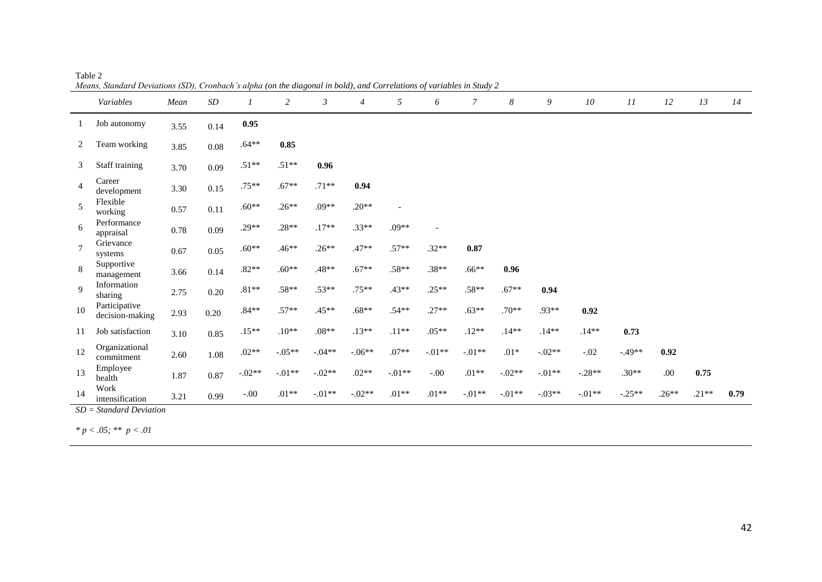|                | Means, Standard Deviations (SD), Cronoach s alpha (on the atagonal in bota), and Correlations of variables in Study 2<br>Variables | Mean | SD       |          | $\overline{c}$ | $\mathfrak{Z}$ | $\overline{4}$ | 5                        | 6              | $\overline{7}$ | 8        | 9        | 10       | 11       | 12      | 13      | 14   |
|----------------|------------------------------------------------------------------------------------------------------------------------------------|------|----------|----------|----------------|----------------|----------------|--------------------------|----------------|----------------|----------|----------|----------|----------|---------|---------|------|
|                | Job autonomy                                                                                                                       | 3.55 | 0.14     | 0.95     |                |                |                |                          |                |                |          |          |          |          |         |         |      |
| 2              | Team working                                                                                                                       | 3.85 | $0.08\,$ | $.64**$  | $0.85\,$       |                |                |                          |                |                |          |          |          |          |         |         |      |
| 3              | Staff training                                                                                                                     | 3.70 | 0.09     | $.51**$  | $.51**$        | 0.96           |                |                          |                |                |          |          |          |          |         |         |      |
| $\overline{4}$ | Career<br>development                                                                                                              | 3.30 | $0.15\,$ | $.75***$ | $.67**$        | $.71**$        | 0.94           |                          |                |                |          |          |          |          |         |         |      |
| 5              | Flexible<br>working                                                                                                                | 0.57 | $0.11\,$ | $.60**$  | $.26**$        | $.09**$        | $.20**$        | $\overline{\phantom{a}}$ |                |                |          |          |          |          |         |         |      |
| 6              | Performance<br>appraisal                                                                                                           | 0.78 | $0.09\,$ | $.29**$  | $.28**$        | $.17**$        | $.33**$        | $.09**$                  | $\blacksquare$ |                |          |          |          |          |         |         |      |
| $\overline{7}$ | Grievance<br>systems                                                                                                               | 0.67 | 0.05     | $.60**$  | $.46**$        | $.26**$        | $.47**$        | $.57**$                  | $.32**$        | 0.87           |          |          |          |          |         |         |      |
| 8              | Supportive<br>management                                                                                                           | 3.66 | $0.14\,$ | $.82**$  | $.60**$        | $.48**$        | $.67**$        | $.58**$                  | $.38**$        | $.66**$        | 0.96     |          |          |          |         |         |      |
| $\mathbf Q$    | Information<br>sharing                                                                                                             | 2.75 | $0.20\,$ | $.81**$  | $.58**$        | $.53**$        | $.75**$        | $.43**$                  | $.25**$        | $.58**$        | $.67**$  | 0.94     |          |          |         |         |      |
| 10             | Participative<br>decision-making                                                                                                   | 2.93 | $0.20\,$ | $.84**$  | $.57**$        | $.45**$        | $.68**$        | $.54**$                  | $.27**$        | $.63**$        | $.70**$  | $.93**$  | 0.92     |          |         |         |      |
| 11             | Job satisfaction                                                                                                                   | 3.10 | 0.85     | $.15**$  | $.10**$        | $.08**$        | $.13**$        | $.11**$                  | $.05**$        | $.12**$        | $.14**$  | $.14**$  | $.14**$  | 0.73     |         |         |      |
| 12             | Organizational<br>commitment                                                                                                       | 2.60 | 1.08     | $.02**$  | $-.05**$       | $-.04**$       | $-.06**$       | $.07**$                  | $-.01**$       | $-.01**$       | $.01*$   | $-.02**$ | $-.02$   | $-.49**$ | 0.92    |         |      |
| 13             | Employee<br>health                                                                                                                 | 1.87 | 0.87     | $-.02**$ | $-.01**$       | $-.02**$       | $.02**$        | $-.01**$                 | $-.00$         | $.01**$        | $-.02**$ | $-.01**$ | $-.28**$ | $.30**$  | .00.    | 0.75    |      |
| 14             | Work<br>intensification                                                                                                            | 3.21 | 0.99     | $-0.00$  | $.01**$        | $-.01**$       | $-.02**$       | $.01**$                  | $.01**$        | $-.01**$       | $-.01**$ | $-.03**$ | $-.01**$ | $-.25**$ | $.26**$ | $.21**$ | 0.79 |

Table 2 *Means, Standard Deviations (SD), Cronbach's alpha (on the diagonal in bold), and Correlations of variables in Study 2*

*SD = Standard Deviation*

*\* p < .05; \*\* p < .01*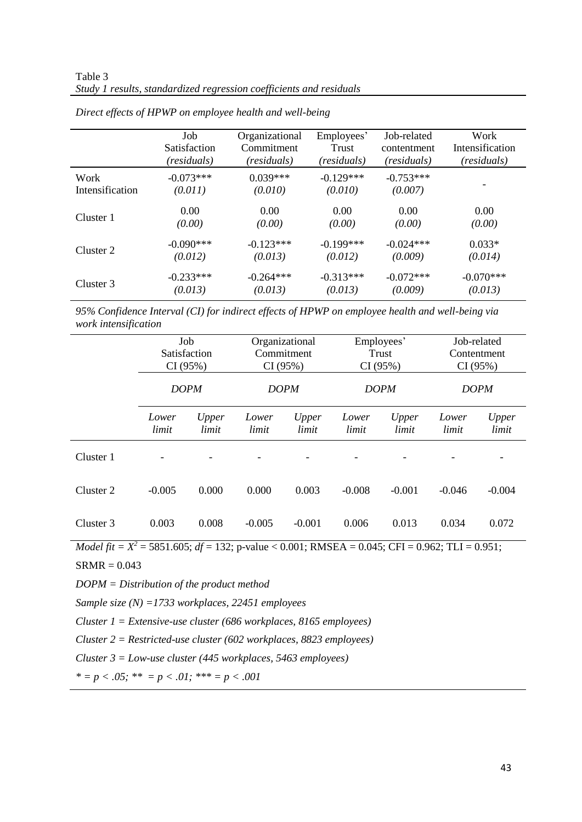|                 | Job                 | Organizational | Employees'  | Job-related | Work            |
|-----------------|---------------------|----------------|-------------|-------------|-----------------|
|                 | <b>Satisfaction</b> | Commitment     | Trust       | contentment | Intensification |
|                 | (residuals)         | (residuals)    | (residuals) | (residuals) | (residuals)     |
| Work            | $-0.073***$         | $0.039***$     | $-0.129***$ | $-0.753***$ |                 |
| Intensification | (0.011)             | (0.010)        | (0.010)     | (0.007)     |                 |
| Cluster 1       | 0.00                | 0.00           | 0.00        | 0.00        | 0.00            |
|                 | (0.00)              | (0.00)         | (0.00)      | (0.00)      | (0.00)          |
| Cluster 2       | $-0.090***$         | $-0.123***$    | $-0.199***$ | $-0.024***$ | $0.033*$        |
|                 | (0.012)             | (0.013)        | (0.012)     | (0.009)     | (0.014)         |
| Cluster 3       | $-0.233***$         | $-0.264***$    | $-0.313***$ | $-0.072***$ | $-0.070***$     |
|                 | (0.013)             | (0.013)        | (0.013)     | (0.009)     | (0.013)         |

*Direct effects of HPWP on employee health and well-being*

*95% Confidence Interval (CI) for indirect effects of HPWP on employee health and well-being via work intensification*

|           | Job<br>Satisfaction |                |                | Organizational | Employees'     |                | Job-related<br>Contentment |                |  |
|-----------|---------------------|----------------|----------------|----------------|----------------|----------------|----------------------------|----------------|--|
|           |                     |                |                | Commitment     | Trust          |                |                            |                |  |
|           | CI(95%)             |                |                | CI(95%)        | CI(95%)        |                | CI(95%)                    |                |  |
|           | <b>DOPM</b>         |                |                | <b>DOPM</b>    |                | <b>DOPM</b>    | <b>DOPM</b>                |                |  |
|           | Lower<br>limit      | Upper<br>limit | Lower<br>limit | Upper<br>limit | Lower<br>limit | Upper<br>limit | Lower<br>limit             | Upper<br>limit |  |
| Cluster 1 |                     |                |                |                |                |                |                            |                |  |
| Cluster 2 | $-0.005$            | 0.000          | 0.000          | 0.003          | $-0.008$       | $-0.001$       | $-0.046$                   | $-0.004$       |  |
| Cluster 3 | 0.003               | 0.008          | $-0.005$       | $-0.001$       | 0.006          | 0.013          | 0.034                      | 0.072          |  |

*Model fit* =  $X^2$  = 5851.605; *df* = 132; p-value < 0.001; RMSEA = 0.045; CFI = 0.962; TLI = 0.951;

 $SRMR = 0.043$ 

*DOPM = Distribution of the product method*

*Sample size (N) =1733 workplaces, 22451 employees*

*Cluster 1 = Extensive-use cluster (686 workplaces, 8165 employees)*

*Cluster 2 = Restricted-use cluster (602 workplaces, 8823 employees)*

*Cluster 3 = Low-use cluster (445 workplaces, 5463 employees)*

*\* = p < .05; \*\* = p < .01; \*\*\* = p < .001*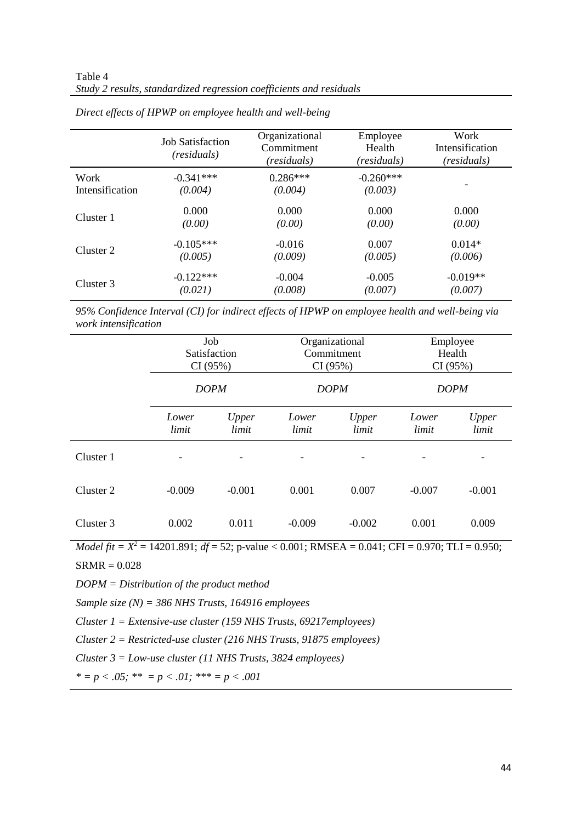|                 | <b>Job Satisfaction</b><br>(residuals) | Organizational<br>Commitment<br>(residuals) | Employee<br>Health<br>(residuals) | Work<br>Intensification<br>(residuals) |
|-----------------|----------------------------------------|---------------------------------------------|-----------------------------------|----------------------------------------|
| Work            | $-0.341***$                            | $0.286***$                                  | $-0.260***$                       |                                        |
| Intensification | (0.004)                                | (0.004)                                     | (0.003)                           |                                        |
| Cluster 1       | 0.000                                  | 0.000                                       | 0.000                             | 0.000                                  |
|                 | (0.00)                                 | (0.00)                                      | (0.00)                            | (0.00)                                 |
| Cluster 2       | $-0.105***$                            | $-0.016$                                    | 0.007                             | $0.014*$                               |
|                 | (0.005)                                | (0.009)                                     | (0.005)                           | (0.006)                                |
| Cluster 3       | $-0.122***$                            | $-0.004$                                    | $-0.005$                          | $-0.019**$                             |
|                 | (0.021)                                | (0.008)                                     | (0.007)                           | (0.007)                                |

*Direct effects of HPWP on employee health and well-being*

*95% Confidence Interval (CI) for indirect effects of HPWP on employee health and well-being via work intensification*

|           | CI(95%)                  | Job<br><b>Satisfaction</b> |                | Organizational<br>Commitment<br>CI(95%) | Employee<br>Health<br>CI(95%) |                |  |
|-----------|--------------------------|----------------------------|----------------|-----------------------------------------|-------------------------------|----------------|--|
|           |                          | <b>DOPM</b>                | <b>DOPM</b>    |                                         | <b>DOPM</b>                   |                |  |
|           | Lower<br>limit           | Upper<br>limit             | Lower<br>limit | Upper<br>limit                          | Lower<br>limit                | Upper<br>limit |  |
| Cluster 1 | $\overline{\phantom{a}}$ |                            |                | $\overline{\phantom{0}}$                |                               |                |  |
| Cluster 2 | $-0.009$                 | $-0.001$                   | 0.001          | 0.007                                   | $-0.007$                      | $-0.001$       |  |
| Cluster 3 | 0.002                    | 0.011                      | $-0.009$       | $-0.002$                                | 0.001                         | 0.009          |  |

*Model fit* =  $X^2$  = 14201.891; *df* = 52; p-value < 0.001; RMSEA = 0.041; CFI = 0.970; TLI = 0.950;

SRMR = 0.028

*DOPM = Distribution of the product method*

*Sample size (N) = 386 NHS Trusts, 164916 employees*

*Cluster 1 = Extensive-use cluster (159 NHS Trusts, 69217employees)*

*Cluster 2 = Restricted-use cluster (216 NHS Trusts, 91875 employees)*

*Cluster 3 = Low-use cluster (11 NHS Trusts, 3824 employees)*

*\* = p < .05; \*\* = p < .01; \*\*\* = p < .001*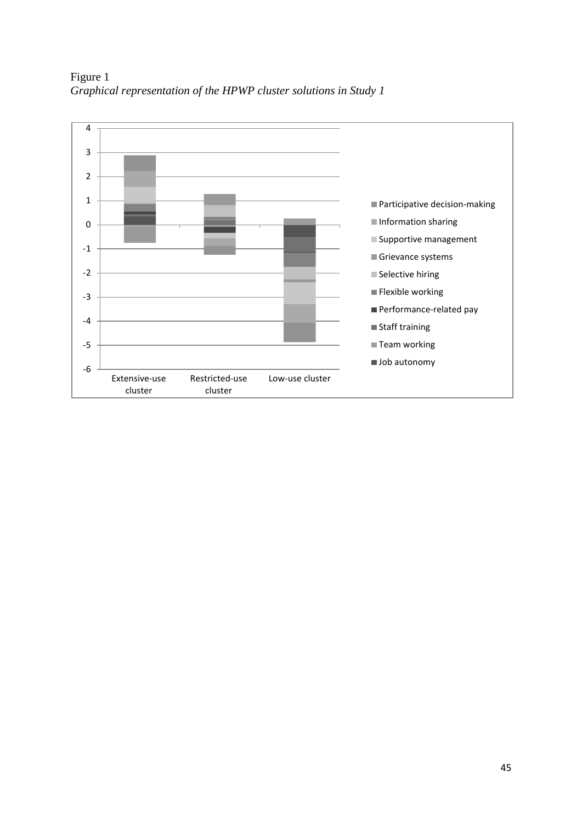

Figure 1 *Graphical representation of the HPWP cluster solutions in Study 1*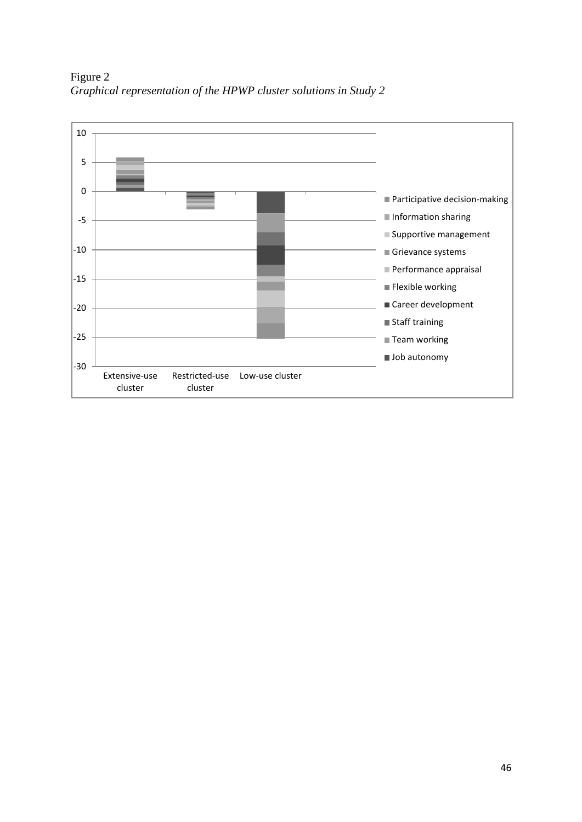

Figure 2 *Graphical representation of the HPWP cluster solutions in Study 2*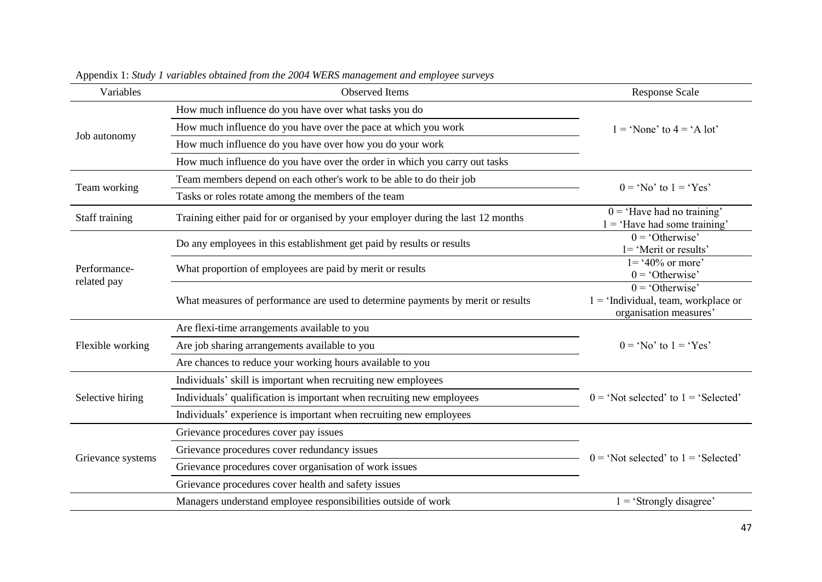| Variables                   | <b>Observed Items</b>                                                            | <b>Response Scale</b>                                                                |  |  |
|-----------------------------|----------------------------------------------------------------------------------|--------------------------------------------------------------------------------------|--|--|
|                             | How much influence do you have over what tasks you do                            |                                                                                      |  |  |
|                             | How much influence do you have over the pace at which you work                   | $1 = 'None'$ to $4 = 'A lot'$                                                        |  |  |
| Job autonomy                | How much influence do you have over how you do your work                         |                                                                                      |  |  |
|                             | How much influence do you have over the order in which you carry out tasks       |                                                                                      |  |  |
|                             | Team members depend on each other's work to be able to do their job              |                                                                                      |  |  |
| Team working                | Tasks or roles rotate among the members of the team                              | $0 = 'No'$ to $1 = 'Yes'$                                                            |  |  |
| Staff training              | Training either paid for or organised by your employer during the last 12 months | $0 = 'Have$ had no training'<br>$1 = 'Have had some training'$                       |  |  |
|                             | Do any employees in this establishment get paid by results or results            | $0 = 'Otherwise'$<br>1= 'Merit or results'                                           |  |  |
| Performance-<br>related pay | What proportion of employees are paid by merit or results                        | $1 = 40\%$ or more'<br>$0 = 'Otherwise'$                                             |  |  |
|                             | What measures of performance are used to determine payments by merit or results  | $0 = 'Otherwise'$<br>$1 = 'Individual, team, workplace or$<br>organisation measures' |  |  |
|                             | Are flexi-time arrangements available to you                                     |                                                                                      |  |  |
| Flexible working            | Are job sharing arrangements available to you                                    | $0 = 'No'$ to $1 = 'Yes'$                                                            |  |  |
|                             | Are chances to reduce your working hours available to you                        |                                                                                      |  |  |
|                             | Individuals' skill is important when recruiting new employees                    |                                                                                      |  |  |
| Selective hiring            | Individuals' qualification is important when recruiting new employees            | $0 = 'Not selected' to 1 = 'Selected'$                                               |  |  |
|                             | Individuals' experience is important when recruiting new employees               |                                                                                      |  |  |
|                             | Grievance procedures cover pay issues                                            |                                                                                      |  |  |
|                             | Grievance procedures cover redundancy issues                                     | $0 = 'Not selected' to 1 = 'Selected'$                                               |  |  |
| Grievance systems           | Grievance procedures cover organisation of work issues                           |                                                                                      |  |  |
|                             | Grievance procedures cover health and safety issues                              |                                                                                      |  |  |
|                             | Managers understand employee responsibilities outside of work                    | $1 = 'Strongly disagree'$                                                            |  |  |

Appendix 1: *Study 1 variables obtained from the 2004 WERS management and employee surveys*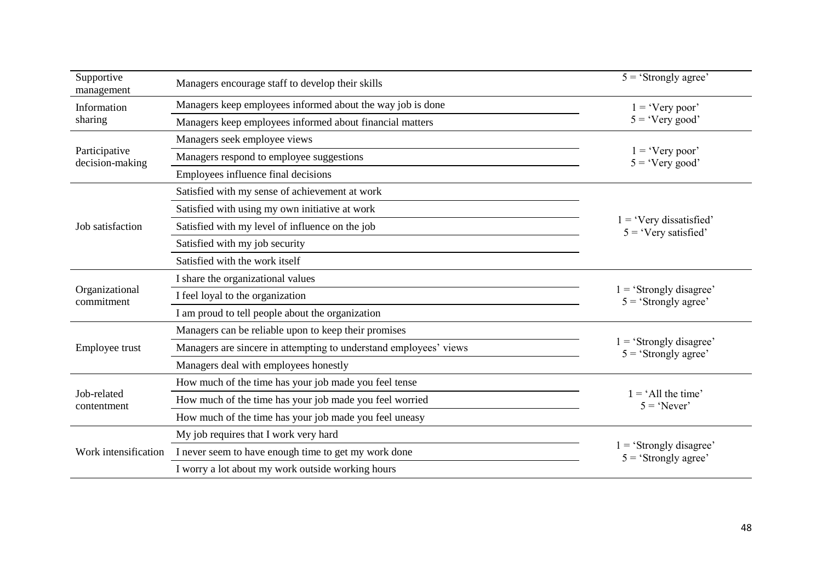| Supportive<br>management         | Managers encourage staff to develop their skills                  | $5 = 'Strongly agree'$                            |  |  |
|----------------------------------|-------------------------------------------------------------------|---------------------------------------------------|--|--|
| Information                      | Managers keep employees informed about the way job is done        | $1 = 'Very poor'$                                 |  |  |
| sharing                          | Managers keep employees informed about financial matters          | $5 = 'Very good'$                                 |  |  |
|                                  | Managers seek employee views                                      |                                                   |  |  |
| Participative<br>decision-making | Managers respond to employee suggestions                          | $1 = 'Very poor'$<br>$5 = 'Very good'$            |  |  |
|                                  | Employees influence final decisions                               |                                                   |  |  |
|                                  | Satisfied with my sense of achievement at work                    |                                                   |  |  |
|                                  | Satisfied with using my own initiative at work                    |                                                   |  |  |
| Job satisfaction                 | Satisfied with my level of influence on the job                   | $=$ 'Very dissatisfied'<br>$5 = 'Very satisfied'$ |  |  |
|                                  | Satisfied with my job security                                    |                                                   |  |  |
|                                  | Satisfied with the work itself                                    |                                                   |  |  |
|                                  | I share the organizational values                                 |                                                   |  |  |
| Organizational<br>commitment     | I feel loyal to the organization                                  | $=$ 'Strongly disagree'<br>$5 = 'Strongly agree'$ |  |  |
|                                  | I am proud to tell people about the organization                  |                                                   |  |  |
|                                  | Managers can be reliable upon to keep their promises              |                                                   |  |  |
| Employee trust                   | Managers are sincere in attempting to understand employees' views | $=$ 'Strongly disagree'<br>$5 = 'Strongly agree'$ |  |  |
|                                  | Managers deal with employees honestly                             |                                                   |  |  |
|                                  | How much of the time has your job made you feel tense             |                                                   |  |  |
| Job-related<br>contentment       | How much of the time has your job made you feel worried           | $1 = 'All$ the time'<br>$5 = 'Never'$             |  |  |
|                                  | How much of the time has your job made you feel uneasy            |                                                   |  |  |
|                                  | My job requires that I work very hard                             |                                                   |  |  |
| Work intensification             | I never seem to have enough time to get my work done              | $=$ 'Strongly disagree'<br>$5 = 'Strongly agree'$ |  |  |
|                                  | I worry a lot about my work outside working hours                 |                                                   |  |  |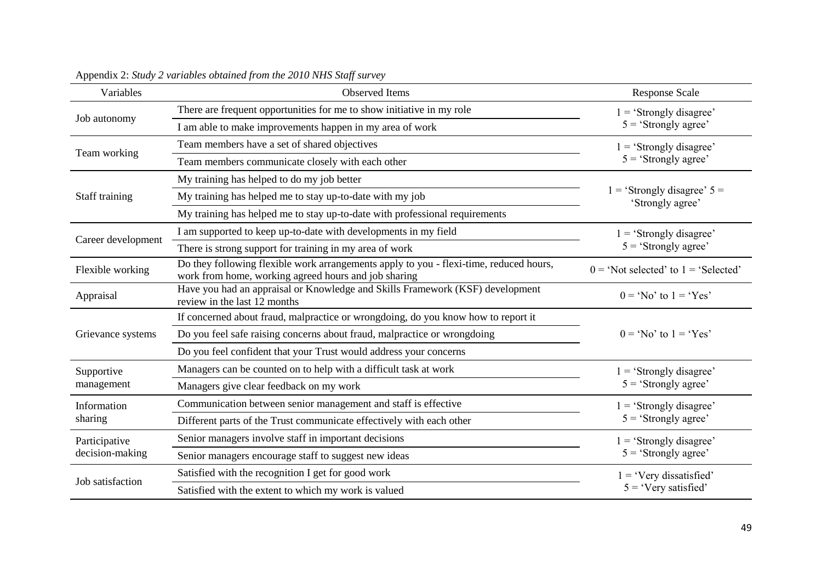| Variables          | Observed Items                                                                                                                                 | <b>Response Scale</b>                             |  |  |
|--------------------|------------------------------------------------------------------------------------------------------------------------------------------------|---------------------------------------------------|--|--|
|                    | There are frequent opportunities for me to show initiative in my role                                                                          | $1 = 'Strongly disagree'$                         |  |  |
| Job autonomy       | I am able to make improvements happen in my area of work                                                                                       | $5 = 'Strongly agree'$                            |  |  |
|                    | Team members have a set of shared objectives                                                                                                   | $1 = 'Strongly disagree'$                         |  |  |
| Team working       | Team members communicate closely with each other                                                                                               | $5 = 'Strongly agree'$                            |  |  |
|                    | My training has helped to do my job better                                                                                                     |                                                   |  |  |
| Staff training     | My training has helped me to stay up-to-date with my job                                                                                       | $=$ 'Strongly disagree' $5 =$<br>'Strongly agree' |  |  |
|                    | My training has helped me to stay up-to-date with professional requirements                                                                    |                                                   |  |  |
|                    | I am supported to keep up-to-date with developments in my field                                                                                | $1 = 'Strongly disagree'$                         |  |  |
| Career development | There is strong support for training in my area of work                                                                                        | $5 = 'Strongly agree'$                            |  |  |
| Flexible working   | Do they following flexible work arrangements apply to you - flexi-time, reduced hours,<br>work from home, working agreed hours and job sharing | $0 = 'Not selected' to 1 = 'Selected'$            |  |  |
| Appraisal          | Have you had an appraisal or Knowledge and Skills Framework (KSF) development<br>review in the last 12 months                                  | $0 = 'No'$ to $1 = 'Yes'$                         |  |  |
|                    | If concerned about fraud, malpractice or wrongdoing, do you know how to report it                                                              |                                                   |  |  |
| Grievance systems  | Do you feel safe raising concerns about fraud, malpractice or wrongdoing                                                                       | $0 = 'No'$ to $1 = 'Yes'$                         |  |  |
|                    | Do you feel confident that your Trust would address your concerns                                                                              |                                                   |  |  |
| Supportive         | Managers can be counted on to help with a difficult task at work                                                                               | $1 = 'Strongly disagree'$                         |  |  |
| management         | Managers give clear feedback on my work                                                                                                        | $5 = 'Strongly agree'$                            |  |  |
| Information        | Communication between senior management and staff is effective                                                                                 | $=$ 'Strongly disagree'                           |  |  |
| sharing            | Different parts of the Trust communicate effectively with each other                                                                           | $5 = 'Strongly agree'$                            |  |  |
| Participative      | Senior managers involve staff in important decisions                                                                                           | $1 = 'Strongly disagree'$                         |  |  |
| decision-making    | Senior managers encourage staff to suggest new ideas                                                                                           | $5 = 'Strongly agree'$                            |  |  |
| Job satisfaction   | Satisfied with the recognition I get for good work                                                                                             | $1 = 'V$ ery dissatisfied'                        |  |  |
|                    | Satisfied with the extent to which my work is valued                                                                                           | $5 = 'Very satisfied'$                            |  |  |

Appendix 2: *Study 2 variables obtained from the 2010 NHS Staff survey*